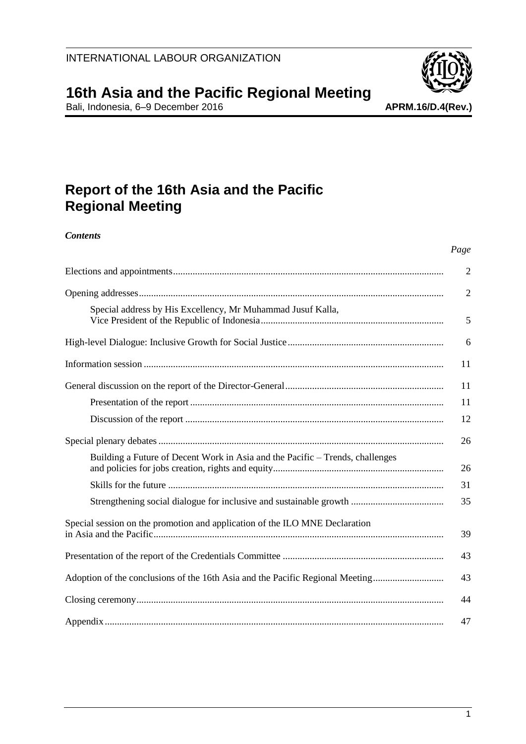

Bali, Indonesia, 6–9 December 2016 **APRM.16/D.4(Rev.)**

# **Report of the 16th Asia and the Pacific Regional Meeting**

*Contents*

|                                                                               | Page           |
|-------------------------------------------------------------------------------|----------------|
|                                                                               | $\overline{2}$ |
|                                                                               | $\overline{2}$ |
| Special address by His Excellency, Mr Muhammad Jusuf Kalla,                   | 5              |
|                                                                               | 6              |
|                                                                               | 11             |
|                                                                               | 11             |
|                                                                               | 11             |
|                                                                               | 12             |
|                                                                               | 26             |
| Building a Future of Decent Work in Asia and the Pacific – Trends, challenges | 26             |
|                                                                               | 31             |
|                                                                               | 35             |
| Special session on the promotion and application of the ILO MNE Declaration   | 39             |
|                                                                               | 43             |
| Adoption of the conclusions of the 16th Asia and the Pacific Regional Meeting | 43             |
|                                                                               | 44             |
|                                                                               | 47             |

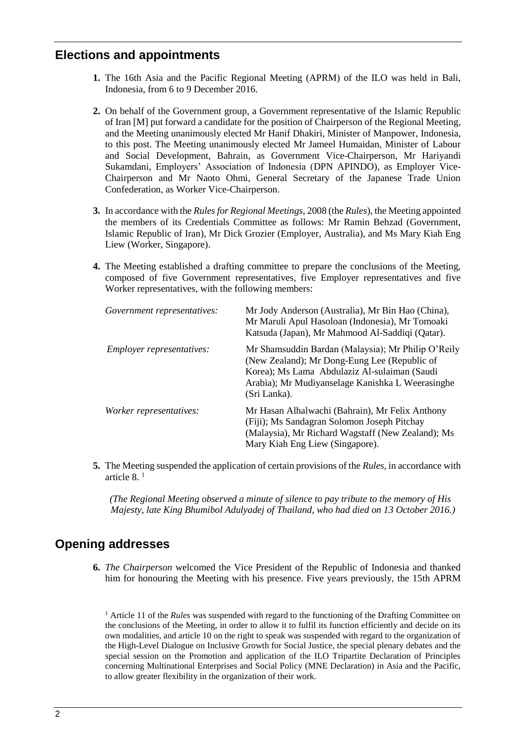## <span id="page-1-0"></span>**Elections and appointments**

- **1.** The 16th Asia and the Pacific Regional Meeting (APRM) of the ILO was held in Bali, Indonesia, from 6 to 9 December 2016.
- **2.** On behalf of the Government group, a Government representative of the Islamic Republic of Iran [M] put forward a candidate for the position of Chairperson of the Regional Meeting, and the Meeting unanimously elected Mr Hanif Dhakiri, Minister of Manpower, Indonesia, to this post. The Meeting unanimously elected Mr Jameel Humaidan, Minister of Labour and Social Development, Bahrain, as Government Vice-Chairperson, Mr Hariyandi Sukamdani, Employers' Association of Indonesia (DPN APINDO), as Employer Vice-Chairperson and Mr Naoto Ohmi, General Secretary of the Japanese Trade Union Confederation, as Worker Vice-Chairperson.
- **3.** In accordance with the *Rules for Regional Meetings*, 2008 (the *Rules*), the Meeting appointed the members of its Credentials Committee as follows: Mr Ramin Behzad (Government, Islamic Republic of Iran), Mr Dick Grozier (Employer, Australia), and Ms Mary Kiah Eng Liew (Worker, Singapore).
- **4.** The Meeting established a drafting committee to prepare the conclusions of the Meeting, composed of five Government representatives, five Employer representatives and five Worker representatives, with the following members:

| Government representatives: | Mr Jody Anderson (Australia), Mr Bin Hao (China),<br>Mr Maruli Apul Hasoloan (Indonesia), Mr Tomoaki<br>Katsuda (Japan), Mr Mahmood Al-Saddiqi (Qatar).                                                                |
|-----------------------------|------------------------------------------------------------------------------------------------------------------------------------------------------------------------------------------------------------------------|
| Employer representatives:   | Mr Shamsuddin Bardan (Malaysia); Mr Philip O'Reily<br>(New Zealand); Mr Dong-Eung Lee (Republic of<br>Korea); Ms Lama Abdulaziz Al-sulaiman (Saudi<br>Arabia); Mr Mudiyanselage Kanishka L Weerasinghe<br>(Sri Lanka). |
| Worker representatives:     | Mr Hasan Alhalwachi (Bahrain), Mr Felix Anthony<br>(Fiji); Ms Sandagran Solomon Joseph Pitchay<br>(Malaysia), Mr Richard Wagstaff (New Zealand); Ms<br>Mary Kiah Eng Liew (Singapore).                                 |

**5.** The Meeting suspended the application of certain provisions of the *Rules*, in accordance with article  $8<sup>1</sup>$ 

*(The Regional Meeting observed a minute of silence to pay tribute to the memory of His Majesty, late King Bhumibol Adulyadej of Thailand, who had died on 13 October 2016.)*

## <span id="page-1-1"></span>**Opening addresses**

**6.** *The Chairperson* welcomed the Vice President of the Republic of Indonesia and thanked him for honouring the Meeting with his presence. Five years previously, the 15th APRM

<sup>1</sup> Article 11 of the *Rules* was suspended with regard to the functioning of the Drafting Committee on the conclusions of the Meeting, in order to allow it to fulfil its function efficiently and decide on its own modalities, and article 10 on the right to speak was suspended with regard to the organization of the High-Level Dialogue on Inclusive Growth for Social Justice, the special plenary debates and the special session on the Promotion and application of the ILO Tripartite Declaration of Principles concerning Multinational Enterprises and Social Policy (MNE Declaration) in Asia and the Pacific, to allow greater flexibility in the organization of their work.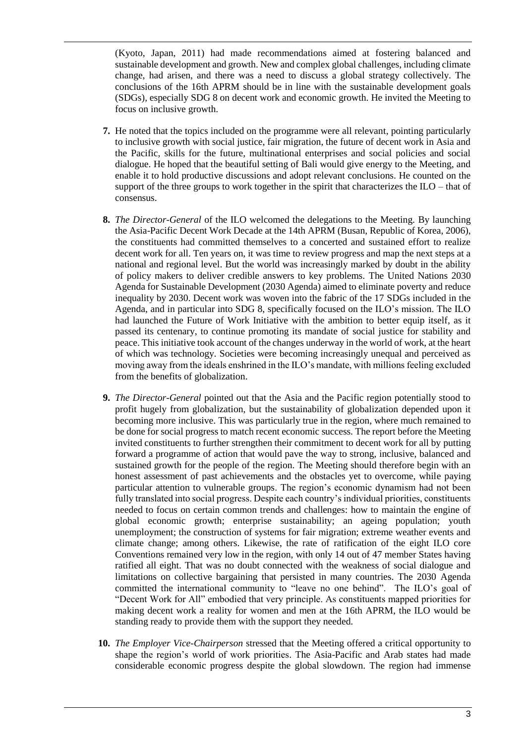(Kyoto, Japan, 2011) had made recommendations aimed at fostering balanced and sustainable development and growth. New and complex global challenges, including climate change, had arisen, and there was a need to discuss a global strategy collectively. The conclusions of the 16th APRM should be in line with the sustainable development goals (SDGs), especially SDG 8 on decent work and economic growth. He invited the Meeting to focus on inclusive growth.

- **7.** He noted that the topics included on the programme were all relevant, pointing particularly to inclusive growth with social justice, fair migration, the future of decent work in Asia and the Pacific, skills for the future, multinational enterprises and social policies and social dialogue. He hoped that the beautiful setting of Bali would give energy to the Meeting, and enable it to hold productive discussions and adopt relevant conclusions. He counted on the support of the three groups to work together in the spirit that characterizes the ILO – that of consensus.
- **8.** *The Director-General* of the ILO welcomed the delegations to the Meeting. By launching the Asia-Pacific Decent Work Decade at the 14th APRM (Busan, Republic of Korea, 2006), the constituents had committed themselves to a concerted and sustained effort to realize decent work for all. Ten years on, it was time to review progress and map the next steps at a national and regional level. But the world was increasingly marked by doubt in the ability of policy makers to deliver credible answers to key problems. The United Nations 2030 Agenda for Sustainable Development (2030 Agenda) aimed to eliminate poverty and reduce inequality by 2030. Decent work was woven into the fabric of the 17 SDGs included in the Agenda, and in particular into SDG 8, specifically focused on the ILO's mission. The ILO had launched the Future of Work Initiative with the ambition to better equip itself, as it passed its centenary, to continue promoting its mandate of social justice for stability and peace. This initiative took account of the changes underway in the world of work, at the heart of which was technology. Societies were becoming increasingly unequal and perceived as moving away from the ideals enshrined in the ILO's mandate, with millions feeling excluded from the benefits of globalization.
- **9.** *The Director-General* pointed out that the Asia and the Pacific region potentially stood to profit hugely from globalization, but the sustainability of globalization depended upon it becoming more inclusive. This was particularly true in the region, where much remained to be done for social progress to match recent economic success. The report before the Meeting invited constituents to further strengthen their commitment to decent work for all by putting forward a programme of action that would pave the way to strong, inclusive, balanced and sustained growth for the people of the region. The Meeting should therefore begin with an honest assessment of past achievements and the obstacles yet to overcome, while paying particular attention to vulnerable groups. The region's economic dynamism had not been fully translated into social progress. Despite each country's individual priorities, constituents needed to focus on certain common trends and challenges: how to maintain the engine of global economic growth; enterprise sustainability; an ageing population; youth unemployment; the construction of systems for fair migration; extreme weather events and climate change; among others. Likewise, the rate of ratification of the eight ILO core Conventions remained very low in the region, with only 14 out of 47 member States having ratified all eight. That was no doubt connected with the weakness of social dialogue and limitations on collective bargaining that persisted in many countries. The 2030 Agenda committed the international community to "leave no one behind". The ILO's goal of "Decent Work for All" embodied that very principle. As constituents mapped priorities for making decent work a reality for women and men at the 16th APRM, the ILO would be standing ready to provide them with the support they needed.
- **10.** *The Employer Vice-Chairperson* stressed that the Meeting offered a critical opportunity to shape the region's world of work priorities. The Asia-Pacific and Arab states had made considerable economic progress despite the global slowdown. The region had immense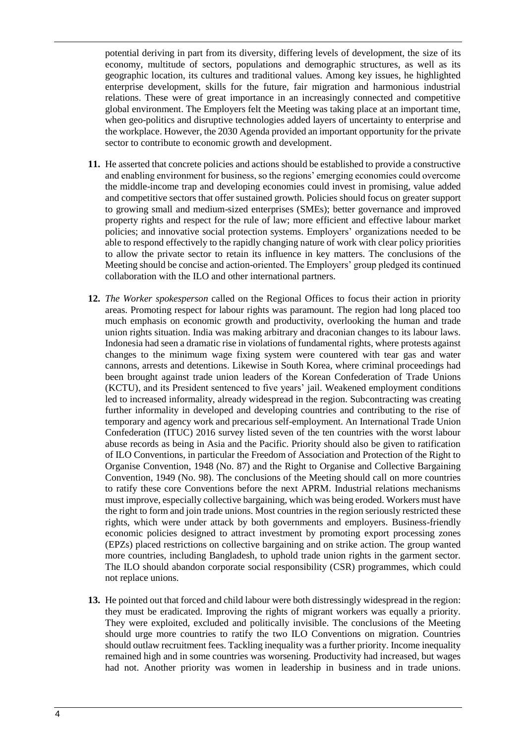potential deriving in part from its diversity, differing levels of development, the size of its economy, multitude of sectors, populations and demographic structures, as well as its geographic location, its cultures and traditional values. Among key issues, he highlighted enterprise development, skills for the future, fair migration and harmonious industrial relations. These were of great importance in an increasingly connected and competitive global environment. The Employers felt the Meeting was taking place at an important time, when geo-politics and disruptive technologies added layers of uncertainty to enterprise and the workplace. However, the 2030 Agenda provided an important opportunity for the private sector to contribute to economic growth and development.

- **11.** He asserted that concrete policies and actions should be established to provide a constructive and enabling environment for business, so the regions' emerging economies could overcome the middle-income trap and developing economies could invest in promising, value added and competitive sectors that offer sustained growth. Policies should focus on greater support to growing small and medium-sized enterprises (SMEs); better governance and improved property rights and respect for the rule of law; more efficient and effective labour market policies; and innovative social protection systems. Employers' organizations needed to be able to respond effectively to the rapidly changing nature of work with clear policy priorities to allow the private sector to retain its influence in key matters. The conclusions of the Meeting should be concise and action-oriented. The Employers' group pledged its continued collaboration with the ILO and other international partners.
- **12.** *The Worker spokesperson* called on the Regional Offices to focus their action in priority areas. Promoting respect for labour rights was paramount. The region had long placed too much emphasis on economic growth and productivity, overlooking the human and trade union rights situation. India was making arbitrary and draconian changes to its labour laws. Indonesia had seen a dramatic rise in violations of fundamental rights, where protests against changes to the minimum wage fixing system were countered with tear gas and water cannons, arrests and detentions. Likewise in South Korea, where criminal proceedings had been brought against trade union leaders of the Korean Confederation of Trade Unions (KCTU), and its President sentenced to five years' jail. Weakened employment conditions led to increased informality, already widespread in the region. Subcontracting was creating further informality in developed and developing countries and contributing to the rise of temporary and agency work and precarious self-employment. An International Trade Union Confederation (ITUC) 2016 survey listed seven of the ten countries with the worst labour abuse records as being in Asia and the Pacific. Priority should also be given to ratification of ILO Conventions, in particular the Freedom of Association and Protection of the Right to Organise Convention, 1948 (No. 87) and the Right to Organise and Collective Bargaining Convention, 1949 (No. 98). The conclusions of the Meeting should call on more countries to ratify these core Conventions before the next APRM. Industrial relations mechanisms must improve, especially collective bargaining, which was being eroded. Workers must have the right to form and join trade unions. Most countries in the region seriously restricted these rights, which were under attack by both governments and employers. Business-friendly economic policies designed to attract investment by promoting export processing zones (EPZs) placed restrictions on collective bargaining and on strike action. The group wanted more countries, including Bangladesh, to uphold trade union rights in the garment sector. The ILO should abandon corporate social responsibility (CSR) programmes, which could not replace unions.
- **13.** He pointed out that forced and child labour were both distressingly widespread in the region: they must be eradicated. Improving the rights of migrant workers was equally a priority. They were exploited, excluded and politically invisible. The conclusions of the Meeting should urge more countries to ratify the two ILO Conventions on migration. Countries should outlaw recruitment fees. Tackling inequality was a further priority. Income inequality remained high and in some countries was worsening. Productivity had increased, but wages had not. Another priority was women in leadership in business and in trade unions.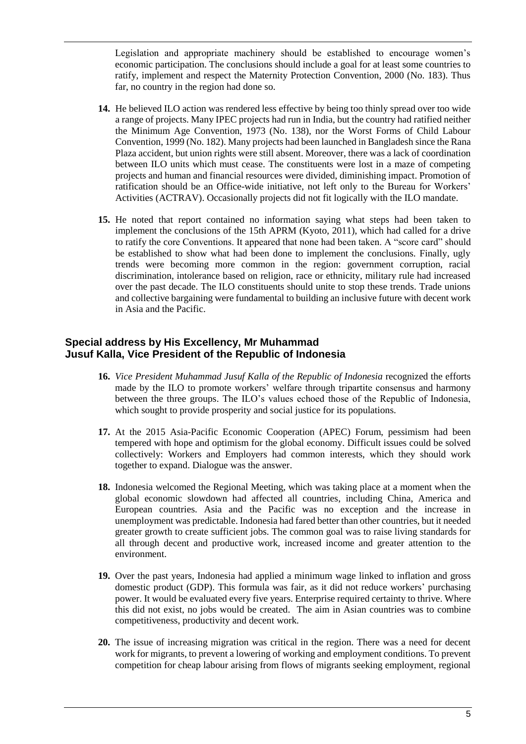Legislation and appropriate machinery should be established to encourage women's economic participation. The conclusions should include a goal for at least some countries to ratify, implement and respect the Maternity Protection Convention, 2000 (No. 183). Thus far, no country in the region had done so.

- **14.** He believed ILO action was rendered less effective by being too thinly spread over too wide a range of projects. Many IPEC projects had run in India, but the country had ratified neither the Minimum Age Convention, 1973 (No. 138), nor the Worst Forms of Child Labour Convention, 1999 (No. 182). Many projects had been launched in Bangladesh since the Rana Plaza accident, but union rights were still absent. Moreover, there was a lack of coordination between ILO units which must cease. The constituents were lost in a maze of competing projects and human and financial resources were divided, diminishing impact. Promotion of ratification should be an Office-wide initiative, not left only to the Bureau for Workers' Activities (ACTRAV). Occasionally projects did not fit logically with the ILO mandate.
- **15.** He noted that report contained no information saying what steps had been taken to implement the conclusions of the 15th APRM (Kyoto, 2011), which had called for a drive to ratify the core Conventions. It appeared that none had been taken. A "score card" should be established to show what had been done to implement the conclusions. Finally, ugly trends were becoming more common in the region: government corruption, racial discrimination, intolerance based on religion, race or ethnicity, military rule had increased over the past decade. The ILO constituents should unite to stop these trends. Trade unions and collective bargaining were fundamental to building an inclusive future with decent work in Asia and the Pacific.

#### <span id="page-4-0"></span>**Special address by His Excellency, Mr Muhammad Jusuf Kalla, Vice President of the Republic of Indonesia**

- **16.** *Vice President Muhammad Jusuf Kalla of the Republic of Indonesia* recognized the efforts made by the ILO to promote workers' welfare through tripartite consensus and harmony between the three groups. The ILO's values echoed those of the Republic of Indonesia, which sought to provide prosperity and social justice for its populations.
- **17.** At the 2015 Asia-Pacific Economic Cooperation (APEC) Forum, pessimism had been tempered with hope and optimism for the global economy. Difficult issues could be solved collectively: Workers and Employers had common interests, which they should work together to expand. Dialogue was the answer.
- **18.** Indonesia welcomed the Regional Meeting, which was taking place at a moment when the global economic slowdown had affected all countries, including China, America and European countries. Asia and the Pacific was no exception and the increase in unemployment was predictable. Indonesia had fared better than other countries, but it needed greater growth to create sufficient jobs. The common goal was to raise living standards for all through decent and productive work, increased income and greater attention to the environment.
- **19.** Over the past years, Indonesia had applied a minimum wage linked to inflation and gross domestic product (GDP). This formula was fair, as it did not reduce workers' purchasing power. It would be evaluated every five years. Enterprise required certainty to thrive. Where this did not exist, no jobs would be created. The aim in Asian countries was to combine competitiveness, productivity and decent work.
- **20.** The issue of increasing migration was critical in the region. There was a need for decent work for migrants, to prevent a lowering of working and employment conditions. To prevent competition for cheap labour arising from flows of migrants seeking employment, regional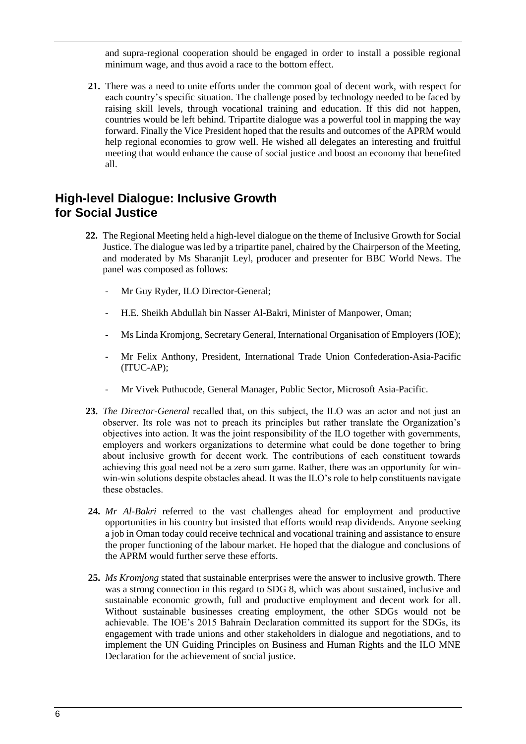and supra-regional cooperation should be engaged in order to install a possible regional minimum wage, and thus avoid a race to the bottom effect.

**21.** There was a need to unite efforts under the common goal of decent work, with respect for each country's specific situation. The challenge posed by technology needed to be faced by raising skill levels, through vocational training and education. If this did not happen, countries would be left behind. Tripartite dialogue was a powerful tool in mapping the way forward. Finally the Vice President hoped that the results and outcomes of the APRM would help regional economies to grow well. He wished all delegates an interesting and fruitful meeting that would enhance the cause of social justice and boost an economy that benefited all.

# <span id="page-5-0"></span>**High-level Dialogue: Inclusive Growth for Social Justice**

- **22.** The Regional Meeting held a high-level dialogue on the theme of Inclusive Growth for Social Justice. The dialogue was led by a tripartite panel, chaired by the Chairperson of the Meeting, and moderated by Ms Sharanjit Leyl, producer and presenter for BBC World News. The panel was composed as follows:
	- Mr Guy Ryder, ILO Director-General;
	- H.E. Sheikh Abdullah bin Nasser Al-Bakri, Minister of Manpower, Oman;
	- Ms Linda Kromjong, Secretary General, International Organisation of Employers (IOE);
	- Mr Felix Anthony, President, International Trade Union Confederation-Asia-Pacific (ITUC-AP);
	- Mr Vivek Puthucode, General Manager, Public Sector, Microsoft Asia-Pacific.
- **23.** *The Director-General* recalled that, on this subject, the ILO was an actor and not just an observer. Its role was not to preach its principles but rather translate the Organization's objectives into action. It was the joint responsibility of the ILO together with governments, employers and workers organizations to determine what could be done together to bring about inclusive growth for decent work. The contributions of each constituent towards achieving this goal need not be a zero sum game. Rather, there was an opportunity for winwin-win solutions despite obstacles ahead. It was the ILO's role to help constituents navigate these obstacles.
- **24.** *Mr Al-Bakri* referred to the vast challenges ahead for employment and productive opportunities in his country but insisted that efforts would reap dividends. Anyone seeking a job in Oman today could receive technical and vocational training and assistance to ensure the proper functioning of the labour market. He hoped that the dialogue and conclusions of the APRM would further serve these efforts.
- **25.** *Ms Kromjong* stated that sustainable enterprises were the answer to inclusive growth. There was a strong connection in this regard to SDG 8, which was about sustained, inclusive and sustainable economic growth, full and productive employment and decent work for all. Without sustainable businesses creating employment, the other SDGs would not be achievable. The IOE's 2015 Bahrain Declaration committed its support for the SDGs, its engagement with trade unions and other stakeholders in dialogue and negotiations, and to implement the UN Guiding Principles on Business and Human Rights and the ILO MNE Declaration for the achievement of social justice.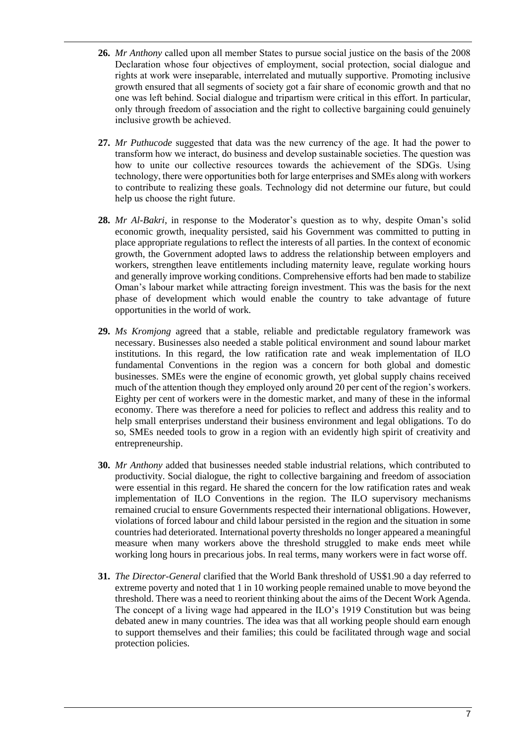- **26.** *Mr Anthony* called upon all member States to pursue social justice on the basis of the 2008 Declaration whose four objectives of employment, social protection, social dialogue and rights at work were inseparable, interrelated and mutually supportive. Promoting inclusive growth ensured that all segments of society got a fair share of economic growth and that no one was left behind. Social dialogue and tripartism were critical in this effort. In particular, only through freedom of association and the right to collective bargaining could genuinely inclusive growth be achieved.
- **27.** *Mr Puthucode* suggested that data was the new currency of the age. It had the power to transform how we interact, do business and develop sustainable societies. The question was how to unite our collective resources towards the achievement of the SDGs. Using technology, there were opportunities both for large enterprises and SMEs along with workers to contribute to realizing these goals. Technology did not determine our future, but could help us choose the right future.
- **28.** *Mr Al-Bakri*, in response to the Moderator's question as to why, despite Oman's solid economic growth, inequality persisted, said his Government was committed to putting in place appropriate regulations to reflect the interests of all parties. In the context of economic growth, the Government adopted laws to address the relationship between employers and workers, strengthen leave entitlements including maternity leave, regulate working hours and generally improve working conditions. Comprehensive efforts had ben made to stabilize Oman's labour market while attracting foreign investment. This was the basis for the next phase of development which would enable the country to take advantage of future opportunities in the world of work.
- **29.** *Ms Kromjong* agreed that a stable, reliable and predictable regulatory framework was necessary. Businesses also needed a stable political environment and sound labour market institutions. In this regard, the low ratification rate and weak implementation of ILO fundamental Conventions in the region was a concern for both global and domestic businesses. SMEs were the engine of economic growth, yet global supply chains received much of the attention though they employed only around 20 per cent of the region's workers. Eighty per cent of workers were in the domestic market, and many of these in the informal economy. There was therefore a need for policies to reflect and address this reality and to help small enterprises understand their business environment and legal obligations. To do so, SMEs needed tools to grow in a region with an evidently high spirit of creativity and entrepreneurship.
- **30.** *Mr Anthony* added that businesses needed stable industrial relations, which contributed to productivity. Social dialogue, the right to collective bargaining and freedom of association were essential in this regard. He shared the concern for the low ratification rates and weak implementation of ILO Conventions in the region. The ILO supervisory mechanisms remained crucial to ensure Governments respected their international obligations. However, violations of forced labour and child labour persisted in the region and the situation in some countries had deteriorated. International poverty thresholds no longer appeared a meaningful measure when many workers above the threshold struggled to make ends meet while working long hours in precarious jobs. In real terms, many workers were in fact worse off.
- **31.** *The Director-General* clarified that the World Bank threshold of US\$1.90 a day referred to extreme poverty and noted that 1 in 10 working people remained unable to move beyond the threshold. There was a need to reorient thinking about the aims of the Decent Work Agenda. The concept of a living wage had appeared in the ILO's 1919 Constitution but was being debated anew in many countries. The idea was that all working people should earn enough to support themselves and their families; this could be facilitated through wage and social protection policies.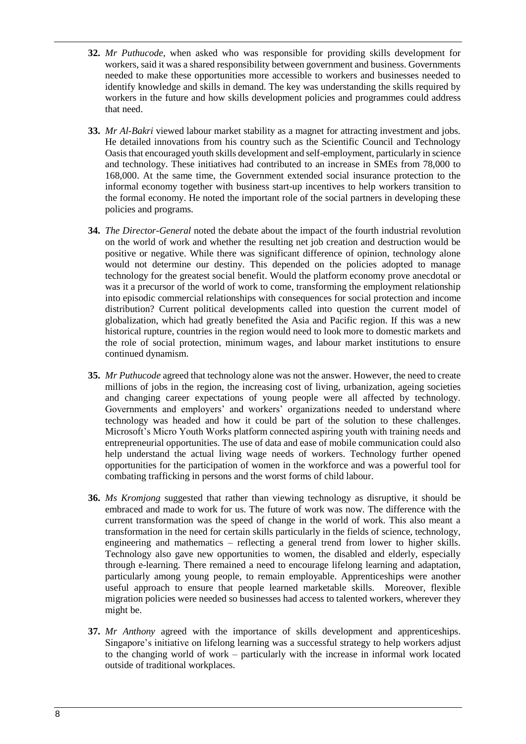- **32.** *Mr Puthucode*, when asked who was responsible for providing skills development for workers, said it was a shared responsibility between government and business. Governments needed to make these opportunities more accessible to workers and businesses needed to identify knowledge and skills in demand. The key was understanding the skills required by workers in the future and how skills development policies and programmes could address that need.
- **33.** *Mr Al-Bakri* viewed labour market stability as a magnet for attracting investment and jobs. He detailed innovations from his country such as the Scientific Council and Technology Oasis that encouraged youth skills development and self-employment, particularly in science and technology. These initiatives had contributed to an increase in SMEs from 78,000 to 168,000. At the same time, the Government extended social insurance protection to the informal economy together with business start-up incentives to help workers transition to the formal economy. He noted the important role of the social partners in developing these policies and programs.
- **34.** *The Director-General* noted the debate about the impact of the fourth industrial revolution on the world of work and whether the resulting net job creation and destruction would be positive or negative. While there was significant difference of opinion, technology alone would not determine our destiny. This depended on the policies adopted to manage technology for the greatest social benefit. Would the platform economy prove anecdotal or was it a precursor of the world of work to come, transforming the employment relationship into episodic commercial relationships with consequences for social protection and income distribution? Current political developments called into question the current model of globalization, which had greatly benefited the Asia and Pacific region. If this was a new historical rupture, countries in the region would need to look more to domestic markets and the role of social protection, minimum wages, and labour market institutions to ensure continued dynamism.
- **35.** *Mr Puthucode* agreed that technology alone was not the answer. However, the need to create millions of jobs in the region, the increasing cost of living, urbanization, ageing societies and changing career expectations of young people were all affected by technology. Governments and employers' and workers' organizations needed to understand where technology was headed and how it could be part of the solution to these challenges. Microsoft's Micro Youth Works platform connected aspiring youth with training needs and entrepreneurial opportunities. The use of data and ease of mobile communication could also help understand the actual living wage needs of workers. Technology further opened opportunities for the participation of women in the workforce and was a powerful tool for combating trafficking in persons and the worst forms of child labour.
- **36.** *Ms Kromjong* suggested that rather than viewing technology as disruptive, it should be embraced and made to work for us. The future of work was now. The difference with the current transformation was the speed of change in the world of work. This also meant a transformation in the need for certain skills particularly in the fields of science, technology, engineering and mathematics – reflecting a general trend from lower to higher skills. Technology also gave new opportunities to women, the disabled and elderly, especially through e-learning. There remained a need to encourage lifelong learning and adaptation, particularly among young people, to remain employable. Apprenticeships were another useful approach to ensure that people learned marketable skills. Moreover, flexible migration policies were needed so businesses had access to talented workers, wherever they might be.
- **37.** *Mr Anthony* agreed with the importance of skills development and apprenticeships. Singapore's initiative on lifelong learning was a successful strategy to help workers adjust to the changing world of work – particularly with the increase in informal work located outside of traditional workplaces.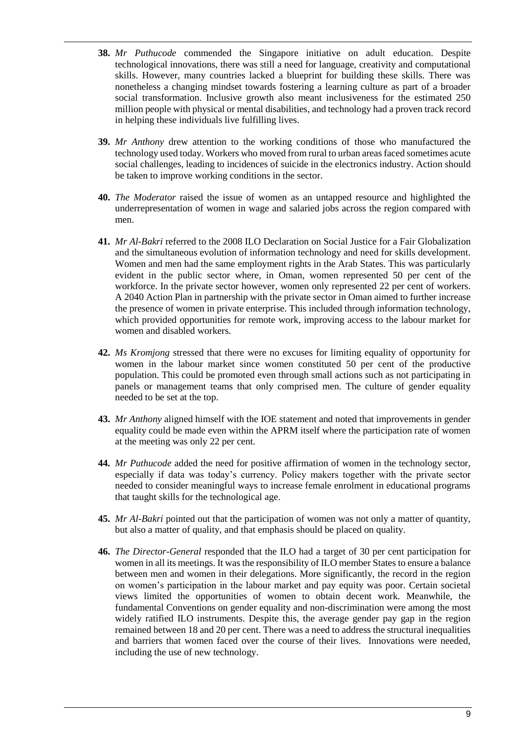- **38.** *Mr Puthucode* commended the Singapore initiative on adult education. Despite technological innovations, there was still a need for language, creativity and computational skills. However, many countries lacked a blueprint for building these skills. There was nonetheless a changing mindset towards fostering a learning culture as part of a broader social transformation. Inclusive growth also meant inclusiveness for the estimated 250 million people with physical or mental disabilities, and technology had a proven track record in helping these individuals live fulfilling lives.
- **39.** *Mr Anthony* drew attention to the working conditions of those who manufactured the technology used today. Workers who moved from rural to urban areas faced sometimes acute social challenges, leading to incidences of suicide in the electronics industry. Action should be taken to improve working conditions in the sector.
- **40.** *The Moderator* raised the issue of women as an untapped resource and highlighted the underrepresentation of women in wage and salaried jobs across the region compared with men.
- **41.** *Mr Al-Bakri* referred to the 2008 ILO Declaration on Social Justice for a Fair Globalization and the simultaneous evolution of information technology and need for skills development. Women and men had the same employment rights in the Arab States. This was particularly evident in the public sector where, in Oman, women represented 50 per cent of the workforce. In the private sector however, women only represented 22 per cent of workers. A 2040 Action Plan in partnership with the private sector in Oman aimed to further increase the presence of women in private enterprise. This included through information technology, which provided opportunities for remote work, improving access to the labour market for women and disabled workers.
- **42.** *Ms Kromjong* stressed that there were no excuses for limiting equality of opportunity for women in the labour market since women constituted 50 per cent of the productive population. This could be promoted even through small actions such as not participating in panels or management teams that only comprised men. The culture of gender equality needed to be set at the top.
- **43.** *Mr Anthony* aligned himself with the IOE statement and noted that improvements in gender equality could be made even within the APRM itself where the participation rate of women at the meeting was only 22 per cent.
- **44.** *Mr Puthucode* added the need for positive affirmation of women in the technology sector, especially if data was today's currency. Policy makers together with the private sector needed to consider meaningful ways to increase female enrolment in educational programs that taught skills for the technological age.
- **45.** *Mr Al-Bakri* pointed out that the participation of women was not only a matter of quantity, but also a matter of quality, and that emphasis should be placed on quality.
- **46.** *The Director-General* responded that the ILO had a target of 30 per cent participation for women in all its meetings. It was the responsibility of ILO member States to ensure a balance between men and women in their delegations. More significantly, the record in the region on women's participation in the labour market and pay equity was poor. Certain societal views limited the opportunities of women to obtain decent work. Meanwhile, the fundamental Conventions on gender equality and non-discrimination were among the most widely ratified ILO instruments. Despite this, the average gender pay gap in the region remained between 18 and 20 per cent. There was a need to address the structural inequalities and barriers that women faced over the course of their lives. Innovations were needed, including the use of new technology.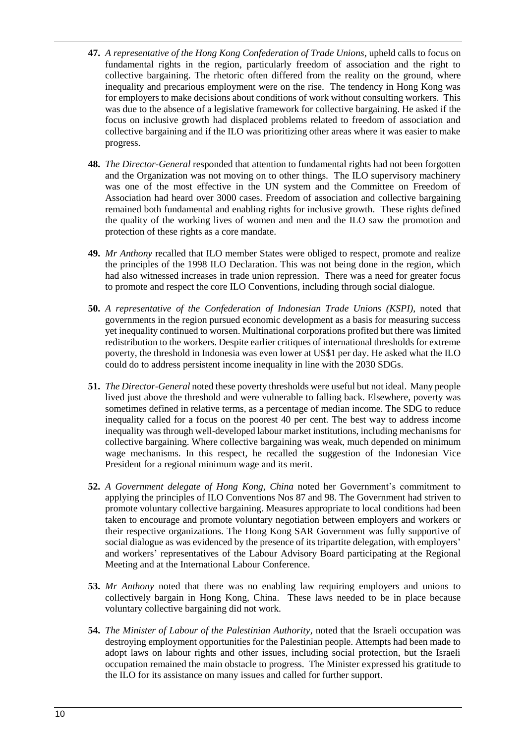- **47.** *A representative of the Hong Kong Confederation of Trade Unions,* upheld calls to focus on fundamental rights in the region, particularly freedom of association and the right to collective bargaining. The rhetoric often differed from the reality on the ground, where inequality and precarious employment were on the rise. The tendency in Hong Kong was for employers to make decisions about conditions of work without consulting workers. This was due to the absence of a legislative framework for collective bargaining. He asked if the focus on inclusive growth had displaced problems related to freedom of association and collective bargaining and if the ILO was prioritizing other areas where it was easier to make progress.
- **48.** *The Director-General* responded that attention to fundamental rights had not been forgotten and the Organization was not moving on to other things. The ILO supervisory machinery was one of the most effective in the UN system and the Committee on Freedom of Association had heard over 3000 cases. Freedom of association and collective bargaining remained both fundamental and enabling rights for inclusive growth. These rights defined the quality of the working lives of women and men and the ILO saw the promotion and protection of these rights as a core mandate.
- **49.** *Mr Anthony* recalled that ILO member States were obliged to respect, promote and realize the principles of the 1998 ILO Declaration. This was not being done in the region, which had also witnessed increases in trade union repression. There was a need for greater focus to promote and respect the core ILO Conventions, including through social dialogue.
- **50.** *A representative of the Confederation of Indonesian Trade Unions (KSPI)*, noted that governments in the region pursued economic development as a basis for measuring success yet inequality continued to worsen. Multinational corporations profited but there was limited redistribution to the workers. Despite earlier critiques of international thresholds for extreme poverty, the threshold in Indonesia was even lower at US\$1 per day. He asked what the ILO could do to address persistent income inequality in line with the 2030 SDGs.
- **51.** *The Director-General* noted these poverty thresholds were useful but not ideal. Many people lived just above the threshold and were vulnerable to falling back. Elsewhere, poverty was sometimes defined in relative terms, as a percentage of median income. The SDG to reduce inequality called for a focus on the poorest 40 per cent. The best way to address income inequality was through well-developed labour market institutions, including mechanisms for collective bargaining. Where collective bargaining was weak, much depended on minimum wage mechanisms. In this respect, he recalled the suggestion of the Indonesian Vice President for a regional minimum wage and its merit.
- **52.** *A Government delegate of Hong Kong, China* noted her Government's commitment to applying the principles of ILO Conventions Nos 87 and 98. The Government had striven to promote voluntary collective bargaining. Measures appropriate to local conditions had been taken to encourage and promote voluntary negotiation between employers and workers or their respective organizations. The Hong Kong SAR Government was fully supportive of social dialogue as was evidenced by the presence of its tripartite delegation, with employers' and workers' representatives of the Labour Advisory Board participating at the Regional Meeting and at the International Labour Conference.
- **53.** *Mr Anthony* noted that there was no enabling law requiring employers and unions to collectively bargain in Hong Kong, China. These laws needed to be in place because voluntary collective bargaining did not work.
- **54.** *The Minister of Labour of the Palestinian Authority,* noted that the Israeli occupation was destroying employment opportunities for the Palestinian people. Attempts had been made to adopt laws on labour rights and other issues, including social protection, but the Israeli occupation remained the main obstacle to progress. The Minister expressed his gratitude to the ILO for its assistance on many issues and called for further support.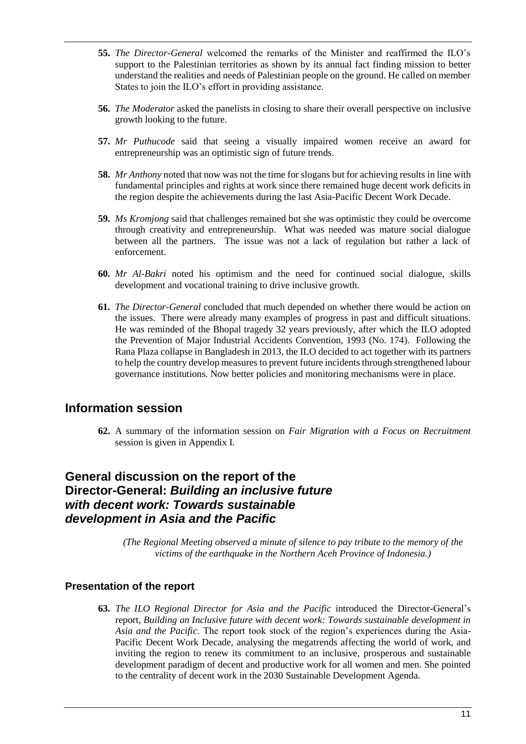- **55.** *The Director-General* welcomed the remarks of the Minister and reaffirmed the ILO's support to the Palestinian territories as shown by its annual fact finding mission to better understand the realities and needs of Palestinian people on the ground. He called on member States to join the ILO's effort in providing assistance.
- **56.** *The Moderator* asked the panelists in closing to share their overall perspective on inclusive growth looking to the future.
- **57.** *Mr Puthucode* said that seeing a visually impaired women receive an award for entrepreneurship was an optimistic sign of future trends.
- **58.** *Mr Anthony* noted that now was not the time for slogans but for achieving results in line with fundamental principles and rights at work since there remained huge decent work deficits in the region despite the achievements during the last Asia-Pacific Decent Work Decade.
- **59.** *Ms Kromjong* said that challenges remained but she was optimistic they could be overcome through creativity and entrepreneurship. What was needed was mature social dialogue between all the partners. The issue was not a lack of regulation but rather a lack of enforcement.
- **60.** *Mr Al-Bakri* noted his optimism and the need for continued social dialogue, skills development and vocational training to drive inclusive growth.
- **61.** *The Director-General* concluded that much depended on whether there would be action on the issues. There were already many examples of progress in past and difficult situations. He was reminded of the Bhopal tragedy 32 years previously, after which the ILO adopted the Prevention of Major Industrial Accidents Convention, 1993 (No. 174). Following the Rana Plaza collapse in Bangladesh in 2013, the ILO decided to act together with its partners to help the country develop measures to prevent future incidents through strengthened labour governance institutions. Now better policies and monitoring mechanisms were in place.

# <span id="page-10-0"></span>**Information session**

**62.** A summary of the information session on *Fair Migration with a Focus on Recruitment* session is given in Appendix I.

# <span id="page-10-1"></span>**General discussion on the report of the Director-General:** *Building an inclusive future with decent work: Towards sustainable development in Asia and the Pacific*

*(The Regional Meeting observed a minute of silence to pay tribute to the memory of the victims of the earthquake in the Northern Aceh Province of Indonesia.)*

## <span id="page-10-2"></span>**Presentation of the report**

**63.** *The ILO Regional Director for Asia and the Pacific* introduced the Director-General's report, *Building an Inclusive future with decent work: Towards sustainable development in Asia and the Pacific*. The report took stock of the region's experiences during the Asia-Pacific Decent Work Decade, analysing the megatrends affecting the world of work, and inviting the region to renew its commitment to an inclusive, prosperous and sustainable development paradigm of decent and productive work for all women and men. She pointed to the centrality of decent work in the 2030 Sustainable Development Agenda.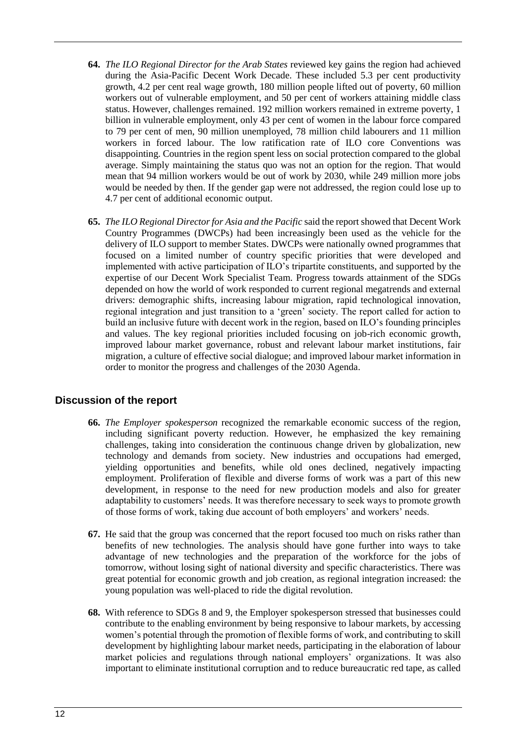- **64.** *The ILO Regional Director for the Arab States* reviewed key gains the region had achieved during the Asia-Pacific Decent Work Decade. These included 5.3 per cent productivity growth, 4.2 per cent real wage growth, 180 million people lifted out of poverty, 60 million workers out of vulnerable employment, and 50 per cent of workers attaining middle class status. However, challenges remained. 192 million workers remained in extreme poverty, 1 billion in vulnerable employment, only 43 per cent of women in the labour force compared to 79 per cent of men, 90 million unemployed, 78 million child labourers and 11 million workers in forced labour. The low ratification rate of ILO core Conventions was disappointing. Countries in the region spent less on social protection compared to the global average. Simply maintaining the status quo was not an option for the region. That would mean that 94 million workers would be out of work by 2030, while 249 million more jobs would be needed by then. If the gender gap were not addressed, the region could lose up to 4.7 per cent of additional economic output.
- **65.** *The ILO Regional Director for Asia and the Pacific* said the report showed that Decent Work Country Programmes (DWCPs) had been increasingly been used as the vehicle for the delivery of ILO support to member States. DWCPs were nationally owned programmes that focused on a limited number of country specific priorities that were developed and implemented with active participation of ILO's tripartite constituents, and supported by the expertise of our Decent Work Specialist Team. Progress towards attainment of the SDGs depended on how the world of work responded to current regional megatrends and external drivers: demographic shifts, increasing labour migration, rapid technological innovation, regional integration and just transition to a 'green' society. The report called for action to build an inclusive future with decent work in the region, based on ILO's founding principles and values. The key regional priorities included focusing on job-rich economic growth, improved labour market governance, robust and relevant labour market institutions, fair migration, a culture of effective social dialogue; and improved labour market information in order to monitor the progress and challenges of the 2030 Agenda.

## <span id="page-11-0"></span>**Discussion of the report**

- **66.** *The Employer spokesperson* recognized the remarkable economic success of the region, including significant poverty reduction. However, he emphasized the key remaining challenges, taking into consideration the continuous change driven by globalization, new technology and demands from society. New industries and occupations had emerged, yielding opportunities and benefits, while old ones declined, negatively impacting employment. Proliferation of flexible and diverse forms of work was a part of this new development, in response to the need for new production models and also for greater adaptability to customers' needs. It was therefore necessary to seek ways to promote growth of those forms of work, taking due account of both employers' and workers' needs.
- **67.** He said that the group was concerned that the report focused too much on risks rather than benefits of new technologies. The analysis should have gone further into ways to take advantage of new technologies and the preparation of the workforce for the jobs of tomorrow, without losing sight of national diversity and specific characteristics. There was great potential for economic growth and job creation, as regional integration increased: the young population was well-placed to ride the digital revolution.
- **68.** With reference to SDGs 8 and 9, the Employer spokesperson stressed that businesses could contribute to the enabling environment by being responsive to labour markets, by accessing women's potential through the promotion of flexible forms of work, and contributing to skill development by highlighting labour market needs, participating in the elaboration of labour market policies and regulations through national employers' organizations. It was also important to eliminate institutional corruption and to reduce bureaucratic red tape, as called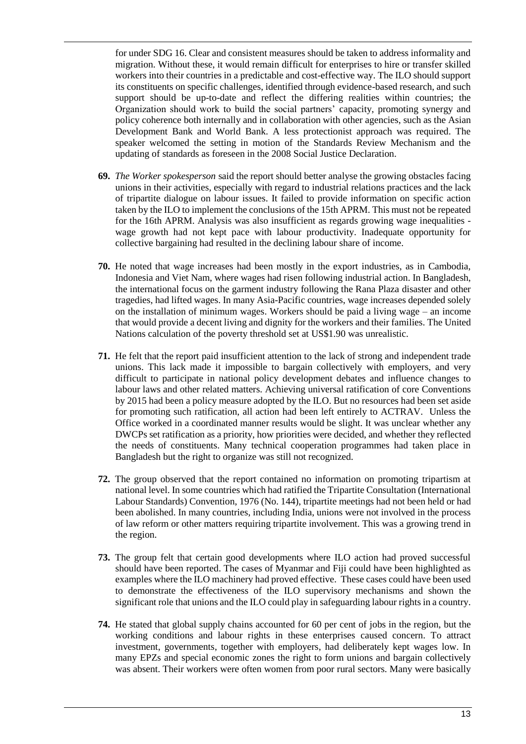for under SDG 16. Clear and consistent measures should be taken to address informality and migration. Without these, it would remain difficult for enterprises to hire or transfer skilled workers into their countries in a predictable and cost-effective way. The ILO should support its constituents on specific challenges, identified through evidence-based research, and such support should be up-to-date and reflect the differing realities within countries; the Organization should work to build the social partners' capacity, promoting synergy and policy coherence both internally and in collaboration with other agencies, such as the Asian Development Bank and World Bank. A less protectionist approach was required. The speaker welcomed the setting in motion of the Standards Review Mechanism and the updating of standards as foreseen in the 2008 Social Justice Declaration.

- **69.** *The Worker spokesperson* said the report should better analyse the growing obstacles facing unions in their activities, especially with regard to industrial relations practices and the lack of tripartite dialogue on labour issues. It failed to provide information on specific action taken by the ILO to implement the conclusions of the 15th APRM. This must not be repeated for the 16th APRM. Analysis was also insufficient as regards growing wage inequalities wage growth had not kept pace with labour productivity. Inadequate opportunity for collective bargaining had resulted in the declining labour share of income.
- **70.** He noted that wage increases had been mostly in the export industries, as in Cambodia, Indonesia and Viet Nam, where wages had risen following industrial action. In Bangladesh, the international focus on the garment industry following the Rana Plaza disaster and other tragedies, had lifted wages. In many Asia-Pacific countries, wage increases depended solely on the installation of minimum wages. Workers should be paid a living wage – an income that would provide a decent living and dignity for the workers and their families. The United Nations calculation of the poverty threshold set at US\$1.90 was unrealistic.
- **71.** He felt that the report paid insufficient attention to the lack of strong and independent trade unions. This lack made it impossible to bargain collectively with employers, and very difficult to participate in national policy development debates and influence changes to labour laws and other related matters. Achieving universal ratification of core Conventions by 2015 had been a policy measure adopted by the ILO. But no resources had been set aside for promoting such ratification, all action had been left entirely to ACTRAV. Unless the Office worked in a coordinated manner results would be slight. It was unclear whether any DWCPs set ratification as a priority, how priorities were decided, and whether they reflected the needs of constituents. Many technical cooperation programmes had taken place in Bangladesh but the right to organize was still not recognized.
- **72.** The group observed that the report contained no information on promoting tripartism at national level. In some countries which had ratified the Tripartite Consultation (International Labour Standards) Convention, 1976 (No. 144), tripartite meetings had not been held or had been abolished. In many countries, including India, unions were not involved in the process of law reform or other matters requiring tripartite involvement. This was a growing trend in the region.
- **73.** The group felt that certain good developments where ILO action had proved successful should have been reported. The cases of Myanmar and Fiji could have been highlighted as examples where the ILO machinery had proved effective. These cases could have been used to demonstrate the effectiveness of the ILO supervisory mechanisms and shown the significant role that unions and the ILO could play in safeguarding labour rights in a country.
- **74.** He stated that global supply chains accounted for 60 per cent of jobs in the region, but the working conditions and labour rights in these enterprises caused concern. To attract investment, governments, together with employers, had deliberately kept wages low. In many EPZs and special economic zones the right to form unions and bargain collectively was absent. Their workers were often women from poor rural sectors. Many were basically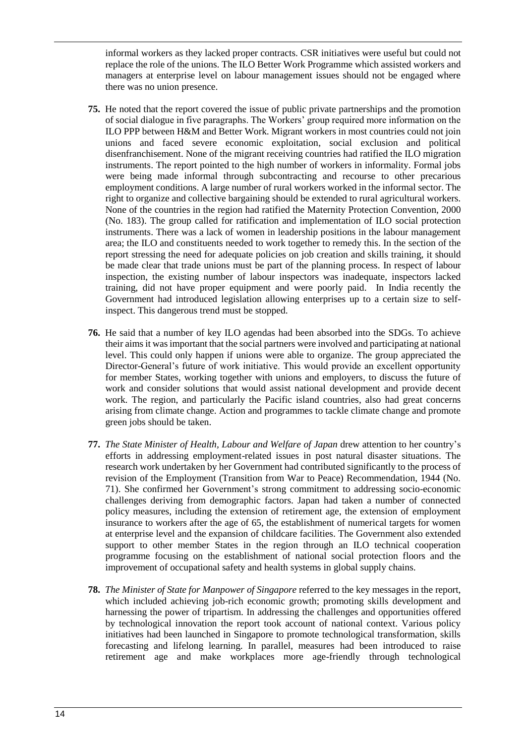informal workers as they lacked proper contracts. CSR initiatives were useful but could not replace the role of the unions. The ILO Better Work Programme which assisted workers and managers at enterprise level on labour management issues should not be engaged where there was no union presence.

- **75.** He noted that the report covered the issue of public private partnerships and the promotion of social dialogue in five paragraphs. The Workers' group required more information on the ILO PPP between H&M and Better Work. Migrant workers in most countries could not join unions and faced severe economic exploitation, social exclusion and political disenfranchisement. None of the migrant receiving countries had ratified the ILO migration instruments. The report pointed to the high number of workers in informality. Formal jobs were being made informal through subcontracting and recourse to other precarious employment conditions. A large number of rural workers worked in the informal sector. The right to organize and collective bargaining should be extended to rural agricultural workers. None of the countries in the region had ratified the Maternity Protection Convention, 2000 (No. 183). The group called for ratification and implementation of ILO social protection instruments. There was a lack of women in leadership positions in the labour management area; the ILO and constituents needed to work together to remedy this. In the section of the report stressing the need for adequate policies on job creation and skills training, it should be made clear that trade unions must be part of the planning process. In respect of labour inspection, the existing number of labour inspectors was inadequate, inspectors lacked training, did not have proper equipment and were poorly paid. In India recently the Government had introduced legislation allowing enterprises up to a certain size to selfinspect. This dangerous trend must be stopped.
- **76.** He said that a number of key ILO agendas had been absorbed into the SDGs. To achieve their aims it was important that the social partners were involved and participating at national level. This could only happen if unions were able to organize. The group appreciated the Director-General's future of work initiative. This would provide an excellent opportunity for member States, working together with unions and employers, to discuss the future of work and consider solutions that would assist national development and provide decent work. The region, and particularly the Pacific island countries, also had great concerns arising from climate change. Action and programmes to tackle climate change and promote green jobs should be taken.
- **77.** *The State Minister of Health, Labour and Welfare of Japan* drew attention to her country's efforts in addressing employment-related issues in post natural disaster situations. The research work undertaken by her Government had contributed significantly to the process of revision of the Employment (Transition from War to Peace) Recommendation, 1944 (No. 71). She confirmed her Government's strong commitment to addressing socio-economic challenges deriving from demographic factors. Japan had taken a number of connected policy measures, including the extension of retirement age, the extension of employment insurance to workers after the age of 65, the establishment of numerical targets for women at enterprise level and the expansion of childcare facilities. The Government also extended support to other member States in the region through an ILO technical cooperation programme focusing on the establishment of national social protection floors and the improvement of occupational safety and health systems in global supply chains.
- **78.** *The Minister of State for Manpower of Singapore* referred to the key messages in the report, which included achieving job-rich economic growth; promoting skills development and harnessing the power of tripartism. In addressing the challenges and opportunities offered by technological innovation the report took account of national context. Various policy initiatives had been launched in Singapore to promote technological transformation, skills forecasting and lifelong learning. In parallel, measures had been introduced to raise retirement age and make workplaces more age-friendly through technological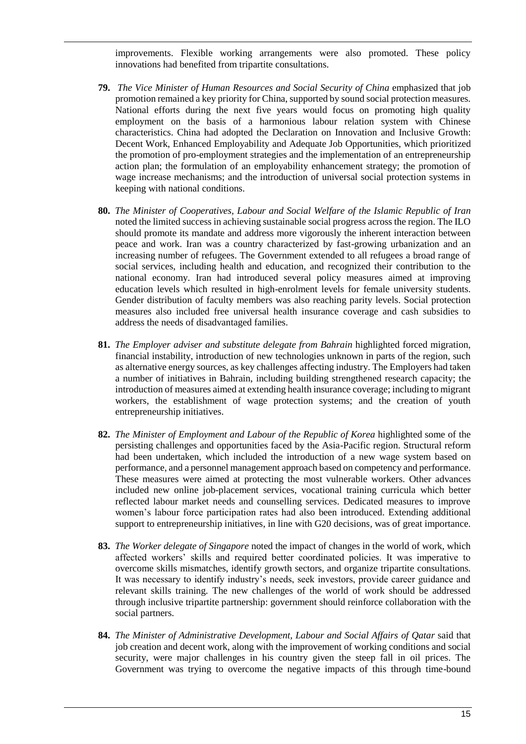improvements. Flexible working arrangements were also promoted. These policy innovations had benefited from tripartite consultations.

- **79.** *The Vice Minister of Human Resources and Social Security of China* emphasized that job promotion remained a key priority for China, supported by sound social protection measures. National efforts during the next five years would focus on promoting high quality employment on the basis of a harmonious labour relation system with Chinese characteristics. China had adopted the Declaration on Innovation and Inclusive Growth: Decent Work, Enhanced Employability and Adequate Job Opportunities, which prioritized the promotion of pro-employment strategies and the implementation of an entrepreneurship action plan; the formulation of an employability enhancement strategy; the promotion of wage increase mechanisms; and the introduction of universal social protection systems in keeping with national conditions.
- **80.** *The Minister of Cooperatives, Labour and Social Welfare of the Islamic Republic of Iran* noted the limited success in achieving sustainable social progress across the region. The ILO should promote its mandate and address more vigorously the inherent interaction between peace and work. Iran was a country characterized by fast-growing urbanization and an increasing number of refugees. The Government extended to all refugees a broad range of social services, including health and education, and recognized their contribution to the national economy. Iran had introduced several policy measures aimed at improving education levels which resulted in high-enrolment levels for female university students. Gender distribution of faculty members was also reaching parity levels. Social protection measures also included free universal health insurance coverage and cash subsidies to address the needs of disadvantaged families.
- **81.** *The Employer adviser and substitute delegate from Bahrain* highlighted forced migration, financial instability, introduction of new technologies unknown in parts of the region, such as alternative energy sources, as key challenges affecting industry. The Employers had taken a number of initiatives in Bahrain, including building strengthened research capacity; the introduction of measures aimed at extending health insurance coverage; including to migrant workers, the establishment of wage protection systems; and the creation of youth entrepreneurship initiatives.
- **82.** *The Minister of Employment and Labour of the Republic of Korea* highlighted some of the persisting challenges and opportunities faced by the Asia-Pacific region. Structural reform had been undertaken, which included the introduction of a new wage system based on performance, and a personnel management approach based on competency and performance. These measures were aimed at protecting the most vulnerable workers. Other advances included new online job-placement services, vocational training curricula which better reflected labour market needs and counselling services. Dedicated measures to improve women's labour force participation rates had also been introduced. Extending additional support to entrepreneurship initiatives, in line with G20 decisions, was of great importance.
- **83.** *The Worker delegate of Singapore* noted the impact of changes in the world of work, which affected workers' skills and required better coordinated policies. It was imperative to overcome skills mismatches, identify growth sectors, and organize tripartite consultations. It was necessary to identify industry's needs, seek investors, provide career guidance and relevant skills training. The new challenges of the world of work should be addressed through inclusive tripartite partnership: government should reinforce collaboration with the social partners.
- **84.** *The Minister of Administrative Development, Labour and Social Affairs of Qatar* said that job creation and decent work, along with the improvement of working conditions and social security, were major challenges in his country given the steep fall in oil prices. The Government was trying to overcome the negative impacts of this through time-bound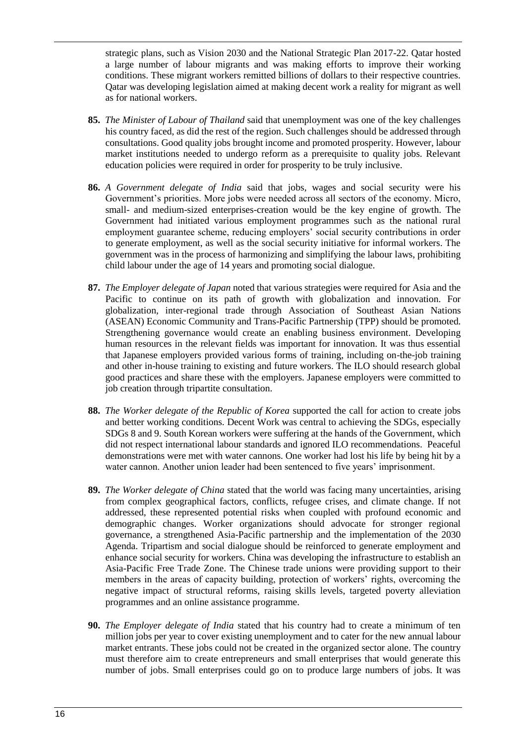strategic plans, such as Vision 2030 and the National Strategic Plan 2017-22. Qatar hosted a large number of labour migrants and was making efforts to improve their working conditions. These migrant workers remitted billions of dollars to their respective countries. Qatar was developing legislation aimed at making decent work a reality for migrant as well as for national workers.

- **85.** *The Minister of Labour of Thailand* said that unemployment was one of the key challenges his country faced, as did the rest of the region. Such challenges should be addressed through consultations. Good quality jobs brought income and promoted prosperity. However, labour market institutions needed to undergo reform as a prerequisite to quality jobs. Relevant education policies were required in order for prosperity to be truly inclusive.
- **86.** *A Government delegate of India* said that jobs, wages and social security were his Government's priorities. More jobs were needed across all sectors of the economy. Micro, small- and medium-sized enterprises-creation would be the key engine of growth. The Government had initiated various employment programmes such as the national rural employment guarantee scheme, reducing employers' social security contributions in order to generate employment, as well as the social security initiative for informal workers. The government was in the process of harmonizing and simplifying the labour laws, prohibiting child labour under the age of 14 years and promoting social dialogue.
- **87.** *The Employer delegate of Japan* noted that various strategies were required for Asia and the Pacific to continue on its path of growth with globalization and innovation. For globalization, inter-regional trade through Association of Southeast Asian Nations (ASEAN) Economic Community and Trans-Pacific Partnership (TPP) should be promoted. Strengthening governance would create an enabling business environment. Developing human resources in the relevant fields was important for innovation. It was thus essential that Japanese employers provided various forms of training, including on-the-job training and other in-house training to existing and future workers. The ILO should research global good practices and share these with the employers. Japanese employers were committed to job creation through tripartite consultation.
- **88.** *The Worker delegate of the Republic of Korea* supported the call for action to create jobs and better working conditions. Decent Work was central to achieving the SDGs, especially SDGs 8 and 9. South Korean workers were suffering at the hands of the Government, which did not respect international labour standards and ignored ILO recommendations. Peaceful demonstrations were met with water cannons. One worker had lost his life by being hit by a water cannon. Another union leader had been sentenced to five years' imprisonment.
- **89.** *The Worker delegate of China* stated that the world was facing many uncertainties, arising from complex geographical factors, conflicts, refugee crises, and climate change. If not addressed, these represented potential risks when coupled with profound economic and demographic changes. Worker organizations should advocate for stronger regional governance, a strengthened Asia-Pacific partnership and the implementation of the 2030 Agenda. Tripartism and social dialogue should be reinforced to generate employment and enhance social security for workers. China was developing the infrastructure to establish an Asia-Pacific Free Trade Zone. The Chinese trade unions were providing support to their members in the areas of capacity building, protection of workers' rights, overcoming the negative impact of structural reforms, raising skills levels, targeted poverty alleviation programmes and an online assistance programme.
- **90.** *The Employer delegate of India* stated that his country had to create a minimum of ten million jobs per year to cover existing unemployment and to cater for the new annual labour market entrants. These jobs could not be created in the organized sector alone. The country must therefore aim to create entrepreneurs and small enterprises that would generate this number of jobs. Small enterprises could go on to produce large numbers of jobs. It was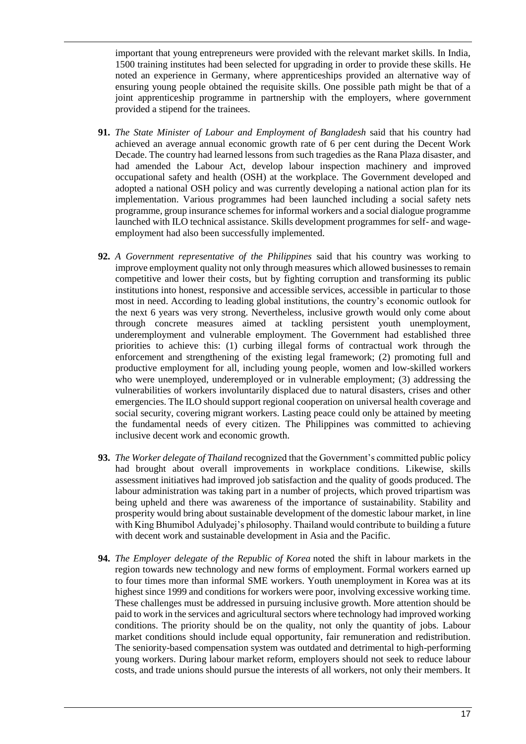important that young entrepreneurs were provided with the relevant market skills. In India, 1500 training institutes had been selected for upgrading in order to provide these skills. He noted an experience in Germany, where apprenticeships provided an alternative way of ensuring young people obtained the requisite skills. One possible path might be that of a joint apprenticeship programme in partnership with the employers, where government provided a stipend for the trainees.

- **91.** *The State Minister of Labour and Employment of Bangladesh* said that his country had achieved an average annual economic growth rate of 6 per cent during the Decent Work Decade. The country had learned lessons from such tragedies as the Rana Plaza disaster, and had amended the Labour Act, develop labour inspection machinery and improved occupational safety and health (OSH) at the workplace. The Government developed and adopted a national OSH policy and was currently developing a national action plan for its implementation. Various programmes had been launched including a social safety nets programme, group insurance schemes for informal workers and a social dialogue programme launched with ILO technical assistance. Skills development programmes for self- and wageemployment had also been successfully implemented.
- **92.** *A Government representative of the Philippines* said that his country was working to improve employment quality not only through measures which allowed businesses to remain competitive and lower their costs, but by fighting corruption and transforming its public institutions into honest, responsive and accessible services, accessible in particular to those most in need. According to leading global institutions, the country's economic outlook for the next 6 years was very strong. Nevertheless, inclusive growth would only come about through concrete measures aimed at tackling persistent youth unemployment, underemployment and vulnerable employment. The Government had established three priorities to achieve this: (1) curbing illegal forms of contractual work through the enforcement and strengthening of the existing legal framework; (2) promoting full and productive employment for all, including young people, women and low-skilled workers who were unemployed, underemployed or in vulnerable employment; (3) addressing the vulnerabilities of workers involuntarily displaced due to natural disasters, crises and other emergencies. The ILO should support regional cooperation on universal health coverage and social security, covering migrant workers. Lasting peace could only be attained by meeting the fundamental needs of every citizen. The Philippines was committed to achieving inclusive decent work and economic growth.
- **93.** *The Worker delegate of Thailand* recognized that the Government's committed public policy had brought about overall improvements in workplace conditions. Likewise, skills assessment initiatives had improved job satisfaction and the quality of goods produced. The labour administration was taking part in a number of projects, which proved tripartism was being upheld and there was awareness of the importance of sustainability. Stability and prosperity would bring about sustainable development of the domestic labour market, in line with King Bhumibol Adulyadej's philosophy. Thailand would contribute to building a future with decent work and sustainable development in Asia and the Pacific.
- **94.** *The Employer delegate of the Republic of Korea* noted the shift in labour markets in the region towards new technology and new forms of employment. Formal workers earned up to four times more than informal SME workers. Youth unemployment in Korea was at its highest since 1999 and conditions for workers were poor, involving excessive working time. These challenges must be addressed in pursuing inclusive growth. More attention should be paid to work in the services and agricultural sectors where technology had improved working conditions. The priority should be on the quality, not only the quantity of jobs. Labour market conditions should include equal opportunity, fair remuneration and redistribution. The seniority-based compensation system was outdated and detrimental to high-performing young workers. During labour market reform, employers should not seek to reduce labour costs, and trade unions should pursue the interests of all workers, not only their members. It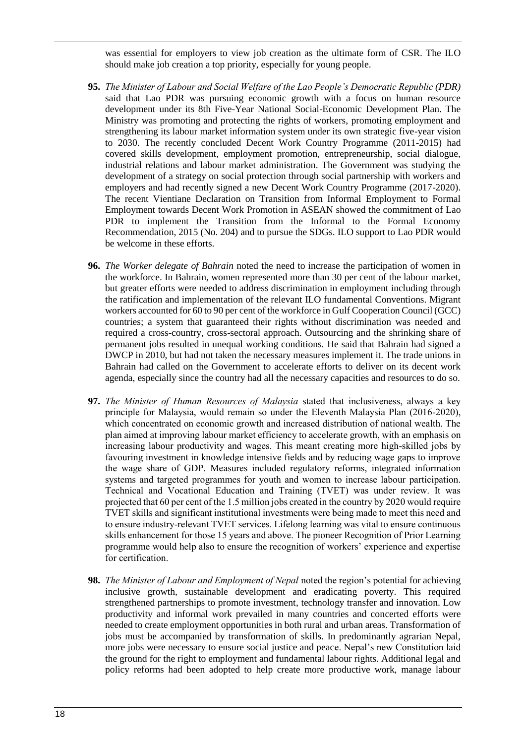was essential for employers to view job creation as the ultimate form of CSR. The ILO should make job creation a top priority, especially for young people.

- **95.** *The Minister of Labour and Social Welfare of the Lao People's Democratic Republic (PDR)* said that Lao PDR was pursuing economic growth with a focus on human resource development under its 8th Five-Year National Social-Economic Development Plan. The Ministry was promoting and protecting the rights of workers, promoting employment and strengthening its labour market information system under its own strategic five-year vision to 2030. The recently concluded Decent Work Country Programme (2011-2015) had covered skills development, employment promotion, entrepreneurship, social dialogue, industrial relations and labour market administration. The Government was studying the development of a strategy on social protection through social partnership with workers and employers and had recently signed a new Decent Work Country Programme (2017-2020). The recent Vientiane Declaration on Transition from Informal Employment to Formal Employment towards Decent Work Promotion in ASEAN showed the commitment of Lao PDR to implement the Transition from the Informal to the Formal Economy Recommendation, 2015 (No. 204) and to pursue the SDGs. ILO support to Lao PDR would be welcome in these efforts.
- **96.** *The Worker delegate of Bahrain* noted the need to increase the participation of women in the workforce. In Bahrain, women represented more than 30 per cent of the labour market, but greater efforts were needed to address discrimination in employment including through the ratification and implementation of the relevant ILO fundamental Conventions. Migrant workers accounted for 60 to 90 per cent of the workforce in Gulf Cooperation Council (GCC) countries; a system that guaranteed their rights without discrimination was needed and required a cross-country, cross-sectoral approach. Outsourcing and the shrinking share of permanent jobs resulted in unequal working conditions. He said that Bahrain had signed a DWCP in 2010, but had not taken the necessary measures implement it. The trade unions in Bahrain had called on the Government to accelerate efforts to deliver on its decent work agenda, especially since the country had all the necessary capacities and resources to do so.
- **97.** *The Minister of Human Resources of Malaysia* stated that inclusiveness, always a key principle for Malaysia, would remain so under the Eleventh Malaysia Plan (2016-2020), which concentrated on economic growth and increased distribution of national wealth. The plan aimed at improving labour market efficiency to accelerate growth, with an emphasis on increasing labour productivity and wages. This meant creating more high-skilled jobs by favouring investment in knowledge intensive fields and by reducing wage gaps to improve the wage share of GDP. Measures included regulatory reforms, integrated information systems and targeted programmes for youth and women to increase labour participation. Technical and Vocational Education and Training (TVET) was under review. It was projected that 60 per cent of the 1.5 million jobs created in the country by 2020 would require TVET skills and significant institutional investments were being made to meet this need and to ensure industry-relevant TVET services. Lifelong learning was vital to ensure continuous skills enhancement for those 15 years and above. The pioneer Recognition of Prior Learning programme would help also to ensure the recognition of workers' experience and expertise for certification.
- **98.** *The Minister of Labour and Employment of Nepal* noted the region's potential for achieving inclusive growth, sustainable development and eradicating poverty. This required strengthened partnerships to promote investment, technology transfer and innovation. Low productivity and informal work prevailed in many countries and concerted efforts were needed to create employment opportunities in both rural and urban areas. Transformation of jobs must be accompanied by transformation of skills. In predominantly agrarian Nepal, more jobs were necessary to ensure social justice and peace. Nepal's new Constitution laid the ground for the right to employment and fundamental labour rights. Additional legal and policy reforms had been adopted to help create more productive work, manage labour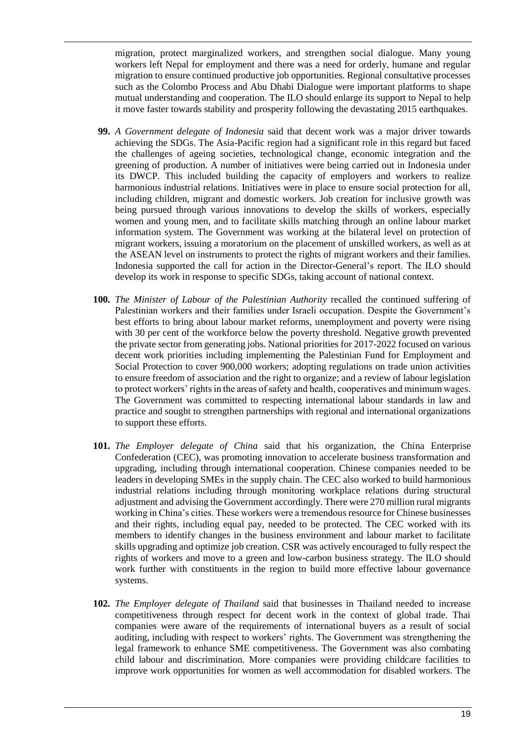migration, protect marginalized workers, and strengthen social dialogue. Many young workers left Nepal for employment and there was a need for orderly, humane and regular migration to ensure continued productive job opportunities. Regional consultative processes such as the Colombo Process and Abu Dhabi Dialogue were important platforms to shape mutual understanding and cooperation. The ILO should enlarge its support to Nepal to help it move faster towards stability and prosperity following the devastating 2015 earthquakes.

- **99.** *A Government delegate of Indonesia* said that decent work was a major driver towards achieving the SDGs. The Asia-Pacific region had a significant role in this regard but faced the challenges of ageing societies, technological change, economic integration and the greening of production. A number of initiatives were being carried out in Indonesia under its DWCP. This included building the capacity of employers and workers to realize harmonious industrial relations. Initiatives were in place to ensure social protection for all, including children, migrant and domestic workers. Job creation for inclusive growth was being pursued through various innovations to develop the skills of workers, especially women and young men, and to facilitate skills matching through an online labour market information system. The Government was working at the bilateral level on protection of migrant workers, issuing a moratorium on the placement of unskilled workers, as well as at the ASEAN level on instruments to protect the rights of migrant workers and their families. Indonesia supported the call for action in the Director-General's report. The ILO should develop its work in response to specific SDGs, taking account of national context.
- **100.** *The Minister of Labour of the Palestinian Authority* recalled the continued suffering of Palestinian workers and their families under Israeli occupation. Despite the Government's best efforts to bring about labour market reforms, unemployment and poverty were rising with 30 per cent of the workforce below the poverty threshold. Negative growth prevented the private sector from generating jobs. National priorities for 2017-2022 focused on various decent work priorities including implementing the Palestinian Fund for Employment and Social Protection to cover 900,000 workers; adopting regulations on trade union activities to ensure freedom of association and the right to organize; and a review of labour legislation to protect workers' rights in the areas of safety and health, cooperatives and minimum wages. The Government was committed to respecting international labour standards in law and practice and sought to strengthen partnerships with regional and international organizations to support these efforts.
- **101.** *The Employer delegate of China* said that his organization, the China Enterprise Confederation (CEC), was promoting innovation to accelerate business transformation and upgrading, including through international cooperation. Chinese companies needed to be leaders in developing SMEs in the supply chain. The CEC also worked to build harmonious industrial relations including through monitoring workplace relations during structural adjustment and advising the Government accordingly. There were 270 million rural migrants working in China's cities. These workers were a tremendous resource for Chinese businesses and their rights, including equal pay, needed to be protected. The CEC worked with its members to identify changes in the business environment and labour market to facilitate skills upgrading and optimize job creation. CSR was actively encouraged to fully respect the rights of workers and move to a green and low-carbon business strategy. The ILO should work further with constituents in the region to build more effective labour governance systems.
- **102.** *The Employer delegate of Thailand* said that businesses in Thailand needed to increase competitiveness through respect for decent work in the context of global trade. Thai companies were aware of the requirements of international buyers as a result of social auditing, including with respect to workers' rights. The Government was strengthening the legal framework to enhance SME competitiveness. The Government was also combating child labour and discrimination. More companies were providing childcare facilities to improve work opportunities for women as well accommodation for disabled workers. The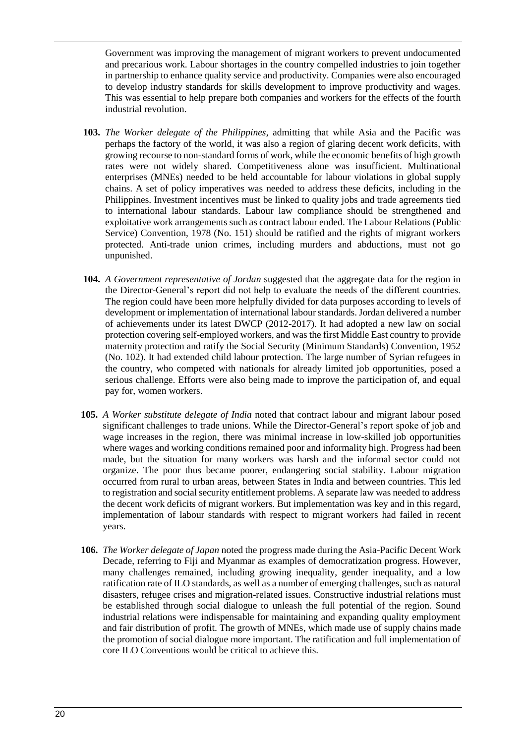Government was improving the management of migrant workers to prevent undocumented and precarious work. Labour shortages in the country compelled industries to join together in partnership to enhance quality service and productivity. Companies were also encouraged to develop industry standards for skills development to improve productivity and wages. This was essential to help prepare both companies and workers for the effects of the fourth industrial revolution.

- **103.** *The Worker delegate of the Philippines*, admitting that while Asia and the Pacific was perhaps the factory of the world, it was also a region of glaring decent work deficits, with growing recourse to non-standard forms of work, while the economic benefits of high growth rates were not widely shared. Competitiveness alone was insufficient. Multinational enterprises (MNEs) needed to be held accountable for labour violations in global supply chains. A set of policy imperatives was needed to address these deficits, including in the Philippines. Investment incentives must be linked to quality jobs and trade agreements tied to international labour standards. Labour law compliance should be strengthened and exploitative work arrangements such as contract labour ended. The Labour Relations (Public Service) Convention, 1978 (No. 151) should be ratified and the rights of migrant workers protected. Anti-trade union crimes, including murders and abductions, must not go unpunished.
- **104.** *A Government representative of Jordan* suggested that the aggregate data for the region in the Director-General's report did not help to evaluate the needs of the different countries. The region could have been more helpfully divided for data purposes according to levels of development or implementation of international labour standards. Jordan delivered a number of achievements under its latest DWCP (2012-2017). It had adopted a new law on social protection covering self-employed workers, and was the first Middle East country to provide maternity protection and ratify the Social Security (Minimum Standards) Convention, 1952 (No. 102). It had extended child labour protection. The large number of Syrian refugees in the country, who competed with nationals for already limited job opportunities, posed a serious challenge. Efforts were also being made to improve the participation of, and equal pay for, women workers.
- **105.** *A Worker substitute delegate of India* noted that contract labour and migrant labour posed significant challenges to trade unions. While the Director-General's report spoke of job and wage increases in the region, there was minimal increase in low-skilled job opportunities where wages and working conditions remained poor and informality high. Progress had been made, but the situation for many workers was harsh and the informal sector could not organize. The poor thus became poorer, endangering social stability. Labour migration occurred from rural to urban areas, between States in India and between countries. This led to registration and social security entitlement problems. A separate law was needed to address the decent work deficits of migrant workers. But implementation was key and in this regard, implementation of labour standards with respect to migrant workers had failed in recent years.
- **106.** *The Worker delegate of Japan* noted the progress made during the Asia-Pacific Decent Work Decade, referring to Fiji and Myanmar as examples of democratization progress. However, many challenges remained, including growing inequality, gender inequality, and a low ratification rate of ILO standards, as well as a number of emerging challenges, such as natural disasters, refugee crises and migration-related issues. Constructive industrial relations must be established through social dialogue to unleash the full potential of the region. Sound industrial relations were indispensable for maintaining and expanding quality employment and fair distribution of profit. The growth of MNEs, which made use of supply chains made the promotion of social dialogue more important. The ratification and full implementation of core ILO Conventions would be critical to achieve this.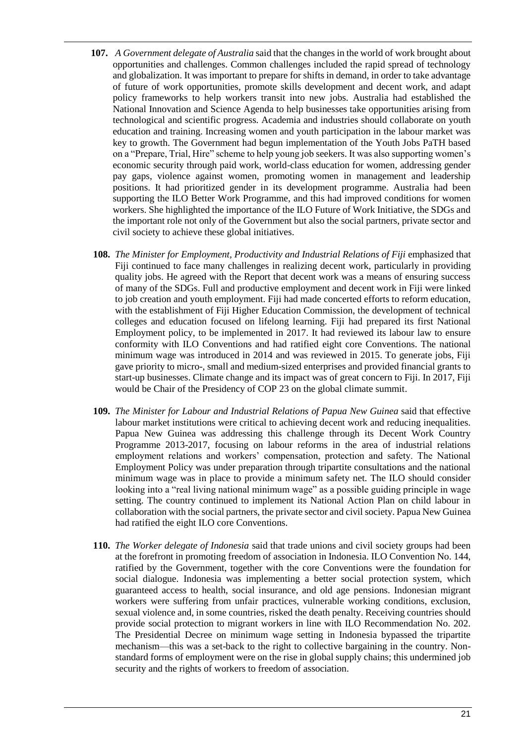- **107.** *A Government delegate of Australia* said that the changes in the world of work brought about opportunities and challenges. Common challenges included the rapid spread of technology and globalization. It was important to prepare for shifts in demand, in order to take advantage of future of work opportunities, promote skills development and decent work, and adapt policy frameworks to help workers transit into new jobs. Australia had established the National Innovation and Science Agenda to help businesses take opportunities arising from technological and scientific progress. Academia and industries should collaborate on youth education and training. Increasing women and youth participation in the labour market was key to growth. The Government had begun implementation of the Youth Jobs PaTH based on a "Prepare, Trial, Hire" scheme to help young job seekers. It was also supporting women's economic security through paid work, world-class education for women, addressing gender pay gaps, violence against women, promoting women in management and leadership positions. It had prioritized gender in its development programme. Australia had been supporting the ILO Better Work Programme, and this had improved conditions for women workers. She highlighted the importance of the ILO Future of Work Initiative, the SDGs and the important role not only of the Government but also the social partners, private sector and civil society to achieve these global initiatives.
- **108.** *The Minister for Employment, Productivity and Industrial Relations of Fiji* emphasized that Fiji continued to face many challenges in realizing decent work, particularly in providing quality jobs. He agreed with the Report that decent work was a means of ensuring success of many of the SDGs. Full and productive employment and decent work in Fiji were linked to job creation and youth employment. Fiji had made concerted efforts to reform education, with the establishment of Fiji Higher Education Commission, the development of technical colleges and education focused on lifelong learning. Fiji had prepared its first National Employment policy, to be implemented in 2017. It had reviewed its labour law to ensure conformity with ILO Conventions and had ratified eight core Conventions. The national minimum wage was introduced in 2014 and was reviewed in 2015. To generate jobs, Fiji gave priority to micro-, small and medium-sized enterprises and provided financial grants to start-up businesses. Climate change and its impact was of great concern to Fiji. In 2017, Fiji would be Chair of the Presidency of COP 23 on the global climate summit.
- **109.** *The Minister for Labour and Industrial Relations of Papua New Guinea* said that effective labour market institutions were critical to achieving decent work and reducing inequalities. Papua New Guinea was addressing this challenge through its Decent Work Country Programme 2013-2017, focusing on labour reforms in the area of industrial relations employment relations and workers' compensation, protection and safety. The National Employment Policy was under preparation through tripartite consultations and the national minimum wage was in place to provide a minimum safety net. The ILO should consider looking into a "real living national minimum wage" as a possible guiding principle in wage setting. The country continued to implement its National Action Plan on child labour in collaboration with the social partners, the private sector and civil society. Papua New Guinea had ratified the eight ILO core Conventions.
- **110.** *The Worker delegate of Indonesia* said that trade unions and civil society groups had been at the forefront in promoting freedom of association in Indonesia. ILO Convention No. 144, ratified by the Government, together with the core Conventions were the foundation for social dialogue. Indonesia was implementing a better social protection system, which guaranteed access to health, social insurance, and old age pensions. Indonesian migrant workers were suffering from unfair practices, vulnerable working conditions, exclusion, sexual violence and, in some countries, risked the death penalty. Receiving countries should provide social protection to migrant workers in line with ILO Recommendation No. 202. The Presidential Decree on minimum wage setting in Indonesia bypassed the tripartite mechanism—this was a set-back to the right to collective bargaining in the country. Nonstandard forms of employment were on the rise in global supply chains; this undermined job security and the rights of workers to freedom of association.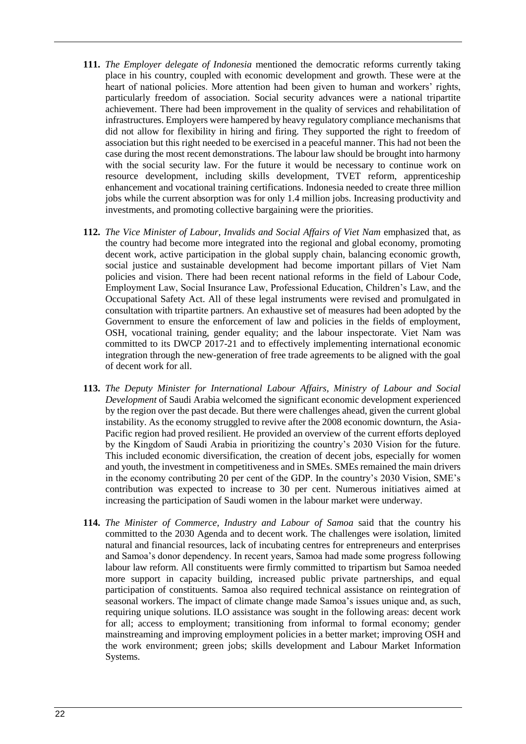- **111.** *The Employer delegate of Indonesia* mentioned the democratic reforms currently taking place in his country, coupled with economic development and growth. These were at the heart of national policies. More attention had been given to human and workers' rights, particularly freedom of association. Social security advances were a national tripartite achievement. There had been improvement in the quality of services and rehabilitation of infrastructures. Employers were hampered by heavy regulatory compliance mechanisms that did not allow for flexibility in hiring and firing. They supported the right to freedom of association but this right needed to be exercised in a peaceful manner. This had not been the case during the most recent demonstrations. The labour law should be brought into harmony with the social security law. For the future it would be necessary to continue work on resource development, including skills development, TVET reform, apprenticeship enhancement and vocational training certifications. Indonesia needed to create three million jobs while the current absorption was for only 1.4 million jobs. Increasing productivity and investments, and promoting collective bargaining were the priorities.
- **112.** *The Vice Minister of Labour, Invalids and Social Affairs of Viet Nam* emphasized that, as the country had become more integrated into the regional and global economy, promoting decent work, active participation in the global supply chain, balancing economic growth, social justice and sustainable development had become important pillars of Viet Nam policies and vision. There had been recent national reforms in the field of Labour Code, Employment Law, Social Insurance Law, Professional Education, Children's Law, and the Occupational Safety Act. All of these legal instruments were revised and promulgated in consultation with tripartite partners. An exhaustive set of measures had been adopted by the Government to ensure the enforcement of law and policies in the fields of employment, OSH, vocational training, gender equality; and the labour inspectorate. Viet Nam was committed to its DWCP 2017-21 and to effectively implementing international economic integration through the new-generation of free trade agreements to be aligned with the goal of decent work for all.
- **113.** *The Deputy Minister for International Labour Affairs, Ministry of Labour and Social Development* of Saudi Arabia welcomed the significant economic development experienced by the region over the past decade. But there were challenges ahead, given the current global instability. As the economy struggled to revive after the 2008 economic downturn, the Asia-Pacific region had proved resilient. He provided an overview of the current efforts deployed by the Kingdom of Saudi Arabia in prioritizing the country's 2030 Vision for the future. This included economic diversification, the creation of decent jobs, especially for women and youth, the investment in competitiveness and in SMEs. SMEs remained the main drivers in the economy contributing 20 per cent of the GDP. In the country's 2030 Vision, SME's contribution was expected to increase to 30 per cent. Numerous initiatives aimed at increasing the participation of Saudi women in the labour market were underway.
- **114.** *The Minister of Commerce, Industry and Labour of Samoa* said that the country his committed to the 2030 Agenda and to decent work. The challenges were isolation, limited natural and financial resources, lack of incubating centres for entrepreneurs and enterprises and Samoa's donor dependency. In recent years, Samoa had made some progress following labour law reform. All constituents were firmly committed to tripartism but Samoa needed more support in capacity building, increased public private partnerships, and equal participation of constituents. Samoa also required technical assistance on reintegration of seasonal workers. The impact of climate change made Samoa's issues unique and, as such, requiring unique solutions. ILO assistance was sought in the following areas: decent work for all; access to employment; transitioning from informal to formal economy; gender mainstreaming and improving employment policies in a better market; improving OSH and the work environment; green jobs; skills development and Labour Market Information Systems.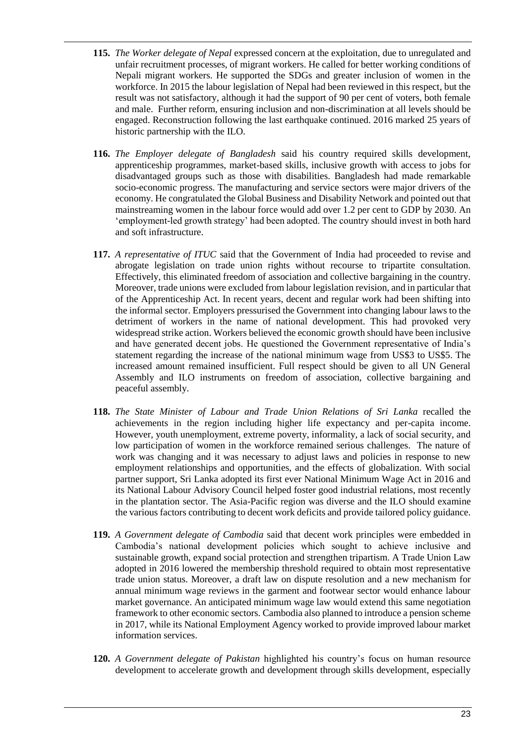- **115.** *The Worker delegate of Nepal* expressed concern at the exploitation, due to unregulated and unfair recruitment processes, of migrant workers. He called for better working conditions of Nepali migrant workers. He supported the SDGs and greater inclusion of women in the workforce. In 2015 the labour legislation of Nepal had been reviewed in this respect, but the result was not satisfactory, although it had the support of 90 per cent of voters, both female and male. Further reform, ensuring inclusion and non-discrimination at all levels should be engaged. Reconstruction following the last earthquake continued. 2016 marked 25 years of historic partnership with the ILO.
- **116.** *The Employer delegate of Bangladesh* said his country required skills development, apprenticeship programmes, market-based skills, inclusive growth with access to jobs for disadvantaged groups such as those with disabilities. Bangladesh had made remarkable socio-economic progress. The manufacturing and service sectors were major drivers of the economy. He congratulated the Global Business and Disability Network and pointed out that mainstreaming women in the labour force would add over 1.2 per cent to GDP by 2030. An 'employment-led growth strategy' had been adopted. The country should invest in both hard and soft infrastructure.
- **117.** *A representative of ITUC* said that the Government of India had proceeded to revise and abrogate legislation on trade union rights without recourse to tripartite consultation. Effectively, this eliminated freedom of association and collective bargaining in the country. Moreover, trade unions were excluded from labour legislation revision, and in particular that of the Apprenticeship Act. In recent years, decent and regular work had been shifting into the informal sector. Employers pressurised the Government into changing labour laws to the detriment of workers in the name of national development. This had provoked very widespread strike action. Workers believed the economic growth should have been inclusive and have generated decent jobs. He questioned the Government representative of India's statement regarding the increase of the national minimum wage from US\$3 to US\$5. The increased amount remained insufficient. Full respect should be given to all UN General Assembly and ILO instruments on freedom of association, collective bargaining and peaceful assembly.
- **118.** *The State Minister of Labour and Trade Union Relations of Sri Lanka* recalled the achievements in the region including higher life expectancy and per-capita income. However, youth unemployment, extreme poverty, informality, a lack of social security, and low participation of women in the workforce remained serious challenges. The nature of work was changing and it was necessary to adjust laws and policies in response to new employment relationships and opportunities, and the effects of globalization. With social partner support, Sri Lanka adopted its first ever National Minimum Wage Act in 2016 and its National Labour Advisory Council helped foster good industrial relations, most recently in the plantation sector. The Asia-Pacific region was diverse and the ILO should examine the various factors contributing to decent work deficits and provide tailored policy guidance.
- **119.** *A Government delegate of Cambodia* said that decent work principles were embedded in Cambodia's national development policies which sought to achieve inclusive and sustainable growth, expand social protection and strengthen tripartism. A Trade Union Law adopted in 2016 lowered the membership threshold required to obtain most representative trade union status. Moreover, a draft law on dispute resolution and a new mechanism for annual minimum wage reviews in the garment and footwear sector would enhance labour market governance. An anticipated minimum wage law would extend this same negotiation framework to other economic sectors. Cambodia also planned to introduce a pension scheme in 2017, while its National Employment Agency worked to provide improved labour market information services.
- **120.** *A Government delegate of Pakistan* highlighted his country's focus on human resource development to accelerate growth and development through skills development, especially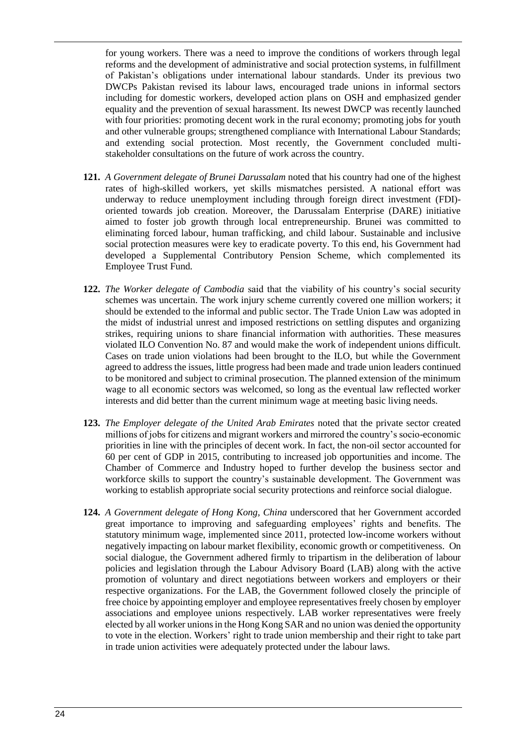for young workers. There was a need to improve the conditions of workers through legal reforms and the development of administrative and social protection systems, in fulfillment of Pakistan's obligations under international labour standards. Under its previous two DWCPs Pakistan revised its labour laws, encouraged trade unions in informal sectors including for domestic workers, developed action plans on OSH and emphasized gender equality and the prevention of sexual harassment. Its newest DWCP was recently launched with four priorities: promoting decent work in the rural economy; promoting jobs for youth and other vulnerable groups; strengthened compliance with International Labour Standards; and extending social protection. Most recently, the Government concluded multistakeholder consultations on the future of work across the country.

- **121.** *A Government delegate of Brunei Darussalam* noted that his country had one of the highest rates of high-skilled workers, yet skills mismatches persisted. A national effort was underway to reduce unemployment including through foreign direct investment (FDI) oriented towards job creation. Moreover, the Darussalam Enterprise (DARE) initiative aimed to foster job growth through local entrepreneurship. Brunei was committed to eliminating forced labour, human trafficking, and child labour. Sustainable and inclusive social protection measures were key to eradicate poverty. To this end, his Government had developed a Supplemental Contributory Pension Scheme, which complemented its Employee Trust Fund.
- **122.** *The Worker delegate of Cambodia* said that the viability of his country's social security schemes was uncertain. The work injury scheme currently covered one million workers; it should be extended to the informal and public sector. The Trade Union Law was adopted in the midst of industrial unrest and imposed restrictions on settling disputes and organizing strikes, requiring unions to share financial information with authorities. These measures violated ILO Convention No. 87 and would make the work of independent unions difficult. Cases on trade union violations had been brought to the ILO, but while the Government agreed to address the issues, little progress had been made and trade union leaders continued to be monitored and subject to criminal prosecution. The planned extension of the minimum wage to all economic sectors was welcomed, so long as the eventual law reflected worker interests and did better than the current minimum wage at meeting basic living needs.
- **123.** *The Employer delegate of the United Arab Emirates* noted that the private sector created millions of jobs for citizens and migrant workers and mirrored the country's socio-economic priorities in line with the principles of decent work. In fact, the non-oil sector accounted for 60 per cent of GDP in 2015, contributing to increased job opportunities and income. The Chamber of Commerce and Industry hoped to further develop the business sector and workforce skills to support the country's sustainable development. The Government was working to establish appropriate social security protections and reinforce social dialogue.
- **124.** *A Government delegate of Hong Kong, China* underscored that her Government accorded great importance to improving and safeguarding employees' rights and benefits. The statutory minimum wage, implemented since 2011, protected low-income workers without negatively impacting on labour market flexibility, economic growth or competitiveness. On social dialogue, the Government adhered firmly to tripartism in the deliberation of labour policies and legislation through the Labour Advisory Board (LAB) along with the active promotion of voluntary and direct negotiations between workers and employers or their respective organizations. For the LAB, the Government followed closely the principle of free choice by appointing employer and employee representatives freely chosen by employer associations and employee unions respectively. LAB worker representatives were freely elected by all worker unions in the Hong Kong SAR and no union was denied the opportunity to vote in the election. Workers' right to trade union membership and their right to take part in trade union activities were adequately protected under the labour laws.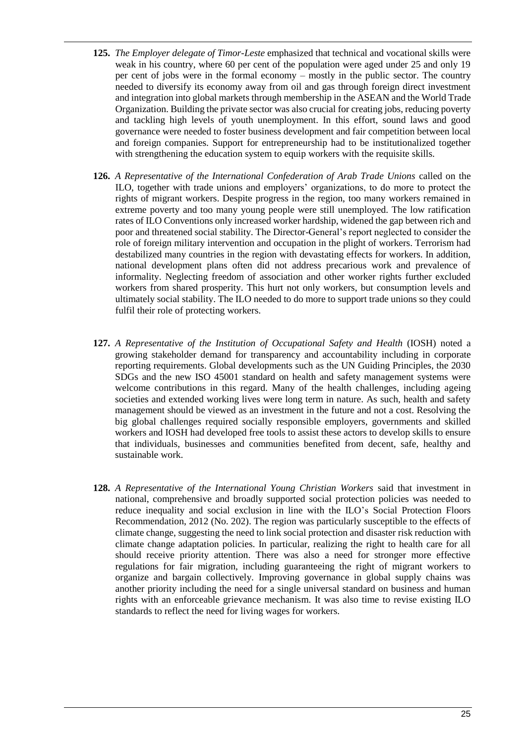- **125.** *The Employer delegate of Timor-Leste* emphasized that technical and vocational skills were weak in his country, where 60 per cent of the population were aged under 25 and only 19 per cent of jobs were in the formal economy – mostly in the public sector. The country needed to diversify its economy away from oil and gas through foreign direct investment and integration into global markets through membership in the ASEAN and the World Trade Organization. Building the private sector was also crucial for creating jobs, reducing poverty and tackling high levels of youth unemployment. In this effort, sound laws and good governance were needed to foster business development and fair competition between local and foreign companies. Support for entrepreneurship had to be institutionalized together with strengthening the education system to equip workers with the requisite skills.
- **126.** *A Representative of the International Confederation of Arab Trade Unions* called on the ILO, together with trade unions and employers' organizations, to do more to protect the rights of migrant workers. Despite progress in the region, too many workers remained in extreme poverty and too many young people were still unemployed. The low ratification rates of ILO Conventions only increased worker hardship, widened the gap between rich and poor and threatened social stability. The Director-General's report neglected to consider the role of foreign military intervention and occupation in the plight of workers. Terrorism had destabilized many countries in the region with devastating effects for workers. In addition, national development plans often did not address precarious work and prevalence of informality. Neglecting freedom of association and other worker rights further excluded workers from shared prosperity. This hurt not only workers, but consumption levels and ultimately social stability. The ILO needed to do more to support trade unions so they could fulfil their role of protecting workers.
- **127.** *A Representative of the Institution of Occupational Safety and Health* (IOSH) noted a growing stakeholder demand for transparency and accountability including in corporate reporting requirements. Global developments such as the UN Guiding Principles, the 2030 SDGs and the new ISO 45001 standard on health and safety management systems were welcome contributions in this regard. Many of the health challenges, including ageing societies and extended working lives were long term in nature. As such, health and safety management should be viewed as an investment in the future and not a cost. Resolving the big global challenges required socially responsible employers, governments and skilled workers and IOSH had developed free tools to assist these actors to develop skills to ensure that individuals, businesses and communities benefited from decent, safe, healthy and sustainable work.
- **128.** *A Representative of the International Young Christian Workers* said that investment in national, comprehensive and broadly supported social protection policies was needed to reduce inequality and social exclusion in line with the ILO's Social Protection Floors Recommendation, 2012 (No. 202). The region was particularly susceptible to the effects of climate change, suggesting the need to link social protection and disaster risk reduction with climate change adaptation policies. In particular, realizing the right to health care for all should receive priority attention. There was also a need for stronger more effective regulations for fair migration, including guaranteeing the right of migrant workers to organize and bargain collectively. Improving governance in global supply chains was another priority including the need for a single universal standard on business and human rights with an enforceable grievance mechanism. It was also time to revise existing ILO standards to reflect the need for living wages for workers.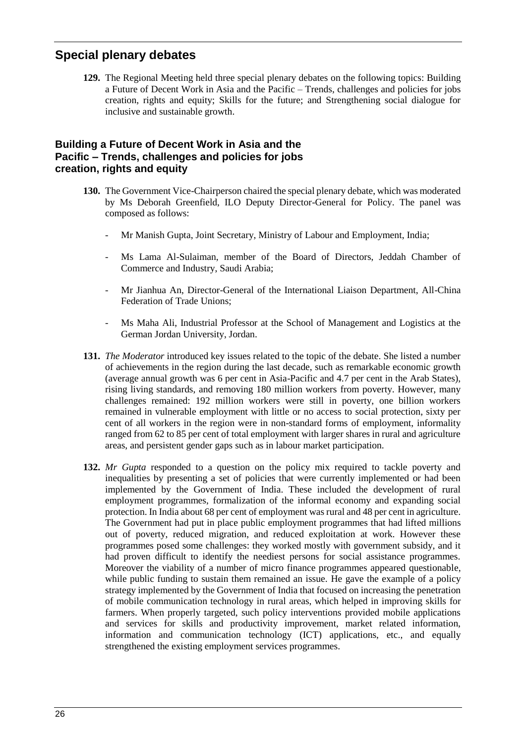# <span id="page-25-0"></span>**Special plenary debates**

**129.** The Regional Meeting held three special plenary debates on the following topics: Building a Future of Decent Work in Asia and the Pacific – Trends, challenges and policies for jobs creation, rights and equity; Skills for the future; and Strengthening social dialogue for inclusive and sustainable growth.

#### <span id="page-25-1"></span>**Building a Future of Decent Work in Asia and the Pacific – Trends, challenges and policies for jobs creation, rights and equity**

- **130.** The Government Vice-Chairperson chaired the special plenary debate, which was moderated by Ms Deborah Greenfield, ILO Deputy Director-General for Policy. The panel was composed as follows:
	- Mr Manish Gupta, Joint Secretary, Ministry of Labour and Employment, India;
	- Ms Lama Al-Sulaiman, member of the Board of Directors, Jeddah Chamber of Commerce and Industry, Saudi Arabia;
	- Mr Jianhua An, Director-General of the International Liaison Department, All-China Federation of Trade Unions;
	- Ms Maha Ali, Industrial Professor at the School of Management and Logistics at the German Jordan University, Jordan.
- **131.** *The Moderator* introduced key issues related to the topic of the debate. She listed a number of achievements in the region during the last decade, such as remarkable economic growth (average annual growth was 6 per cent in Asia-Pacific and 4.7 per cent in the Arab States), rising living standards, and removing 180 million workers from poverty. However, many challenges remained: 192 million workers were still in poverty, one billion workers remained in vulnerable employment with little or no access to social protection, sixty per cent of all workers in the region were in non-standard forms of employment, informality ranged from 62 to 85 per cent of total employment with larger shares in rural and agriculture areas, and persistent gender gaps such as in labour market participation.
- **132.** *Mr Gupta* responded to a question on the policy mix required to tackle poverty and inequalities by presenting a set of policies that were currently implemented or had been implemented by the Government of India. These included the development of rural employment programmes, formalization of the informal economy and expanding social protection. In India about 68 per cent of employment was rural and 48 per cent in agriculture. The Government had put in place public employment programmes that had lifted millions out of poverty, reduced migration, and reduced exploitation at work. However these programmes posed some challenges: they worked mostly with government subsidy, and it had proven difficult to identify the neediest persons for social assistance programmes. Moreover the viability of a number of micro finance programmes appeared questionable, while public funding to sustain them remained an issue. He gave the example of a policy strategy implemented by the Government of India that focused on increasing the penetration of mobile communication technology in rural areas, which helped in improving skills for farmers. When properly targeted, such policy interventions provided mobile applications and services for skills and productivity improvement, market related information, information and communication technology (ICT) applications, etc., and equally strengthened the existing employment services programmes.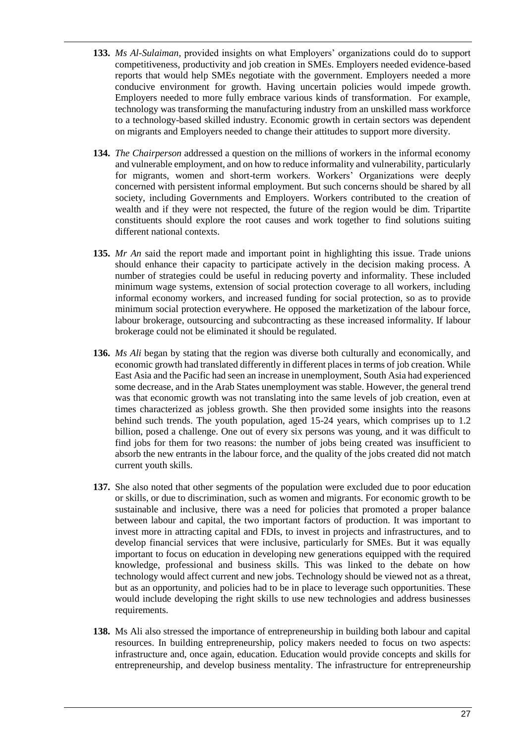- **133.** *Ms Al-Sulaiman,* provided insights on what Employers' organizations could do to support competitiveness, productivity and job creation in SMEs. Employers needed evidence-based reports that would help SMEs negotiate with the government. Employers needed a more conducive environment for growth. Having uncertain policies would impede growth. Employers needed to more fully embrace various kinds of transformation. For example, technology was transforming the manufacturing industry from an unskilled mass workforce to a technology-based skilled industry. Economic growth in certain sectors was dependent on migrants and Employers needed to change their attitudes to support more diversity.
- **134.** *The Chairperson* addressed a question on the millions of workers in the informal economy and vulnerable employment, and on how to reduce informality and vulnerability, particularly for migrants, women and short-term workers. Workers' Organizations were deeply concerned with persistent informal employment. But such concerns should be shared by all society, including Governments and Employers. Workers contributed to the creation of wealth and if they were not respected, the future of the region would be dim. Tripartite constituents should explore the root causes and work together to find solutions suiting different national contexts.
- **135.** *Mr An* said the report made and important point in highlighting this issue. Trade unions should enhance their capacity to participate actively in the decision making process. A number of strategies could be useful in reducing poverty and informality. These included minimum wage systems, extension of social protection coverage to all workers, including informal economy workers, and increased funding for social protection, so as to provide minimum social protection everywhere. He opposed the marketization of the labour force, labour brokerage, outsourcing and subcontracting as these increased informality. If labour brokerage could not be eliminated it should be regulated.
- **136.** *Ms Ali* began by stating that the region was diverse both culturally and economically, and economic growth had translated differently in different places in terms of job creation. While East Asia and the Pacific had seen an increase in unemployment, South Asia had experienced some decrease, and in the Arab States unemployment was stable. However, the general trend was that economic growth was not translating into the same levels of job creation, even at times characterized as jobless growth. She then provided some insights into the reasons behind such trends. The youth population, aged 15-24 years, which comprises up to 1.2 billion, posed a challenge. One out of every six persons was young, and it was difficult to find jobs for them for two reasons: the number of jobs being created was insufficient to absorb the new entrants in the labour force, and the quality of the jobs created did not match current youth skills.
- **137.** She also noted that other segments of the population were excluded due to poor education or skills, or due to discrimination, such as women and migrants. For economic growth to be sustainable and inclusive, there was a need for policies that promoted a proper balance between labour and capital, the two important factors of production. It was important to invest more in attracting capital and FDIs, to invest in projects and infrastructures, and to develop financial services that were inclusive, particularly for SMEs. But it was equally important to focus on education in developing new generations equipped with the required knowledge, professional and business skills. This was linked to the debate on how technology would affect current and new jobs. Technology should be viewed not as a threat, but as an opportunity, and policies had to be in place to leverage such opportunities. These would include developing the right skills to use new technologies and address businesses requirements.
- **138.** Ms Ali also stressed the importance of entrepreneurship in building both labour and capital resources. In building entrepreneurship, policy makers needed to focus on two aspects: infrastructure and, once again, education. Education would provide concepts and skills for entrepreneurship, and develop business mentality. The infrastructure for entrepreneurship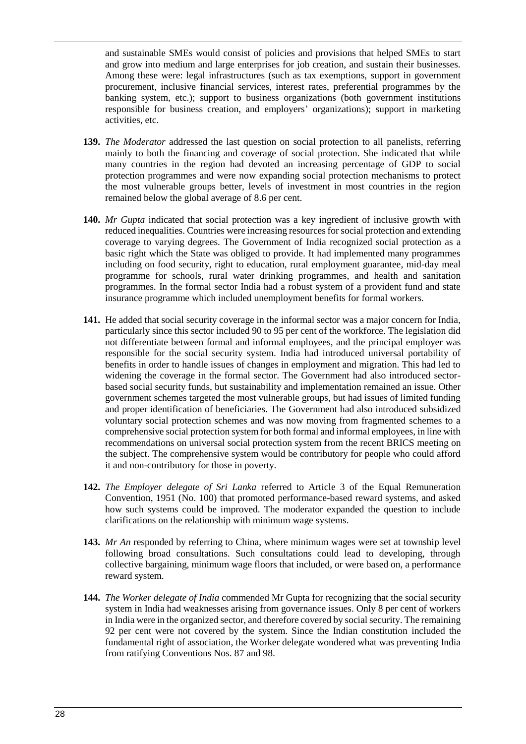and sustainable SMEs would consist of policies and provisions that helped SMEs to start and grow into medium and large enterprises for job creation, and sustain their businesses. Among these were: legal infrastructures (such as tax exemptions, support in government procurement, inclusive financial services, interest rates, preferential programmes by the banking system, etc.); support to business organizations (both government institutions responsible for business creation, and employers' organizations); support in marketing activities, etc.

- **139.** *The Moderator* addressed the last question on social protection to all panelists, referring mainly to both the financing and coverage of social protection. She indicated that while many countries in the region had devoted an increasing percentage of GDP to social protection programmes and were now expanding social protection mechanisms to protect the most vulnerable groups better, levels of investment in most countries in the region remained below the global average of 8.6 per cent.
- **140.** *Mr Gupta* indicated that social protection was a key ingredient of inclusive growth with reduced inequalities. Countries were increasing resources for social protection and extending coverage to varying degrees. The Government of India recognized social protection as a basic right which the State was obliged to provide. It had implemented many programmes including on food security, right to education, rural employment guarantee, mid-day meal programme for schools, rural water drinking programmes, and health and sanitation programmes. In the formal sector India had a robust system of a provident fund and state insurance programme which included unemployment benefits for formal workers.
- **141.** He added that social security coverage in the informal sector was a major concern for India, particularly since this sector included 90 to 95 per cent of the workforce. The legislation did not differentiate between formal and informal employees, and the principal employer was responsible for the social security system. India had introduced universal portability of benefits in order to handle issues of changes in employment and migration. This had led to widening the coverage in the formal sector. The Government had also introduced sectorbased social security funds, but sustainability and implementation remained an issue. Other government schemes targeted the most vulnerable groups, but had issues of limited funding and proper identification of beneficiaries. The Government had also introduced subsidized voluntary social protection schemes and was now moving from fragmented schemes to a comprehensive social protection system for both formal and informal employees, in line with recommendations on universal social protection system from the recent BRICS meeting on the subject. The comprehensive system would be contributory for people who could afford it and non-contributory for those in poverty.
- **142.** *The Employer delegate of Sri Lanka* referred to Article 3 of the Equal Remuneration Convention, 1951 (No. 100) that promoted performance-based reward systems, and asked how such systems could be improved. The moderator expanded the question to include clarifications on the relationship with minimum wage systems.
- **143.** *Mr An* responded by referring to China, where minimum wages were set at township level following broad consultations. Such consultations could lead to developing, through collective bargaining, minimum wage floors that included, or were based on, a performance reward system.
- **144.** *The Worker delegate of India* commended Mr Gupta for recognizing that the social security system in India had weaknesses arising from governance issues. Only 8 per cent of workers in India were in the organized sector, and therefore covered by social security. The remaining 92 per cent were not covered by the system. Since the Indian constitution included the fundamental right of association, the Worker delegate wondered what was preventing India from ratifying Conventions Nos. 87 and 98.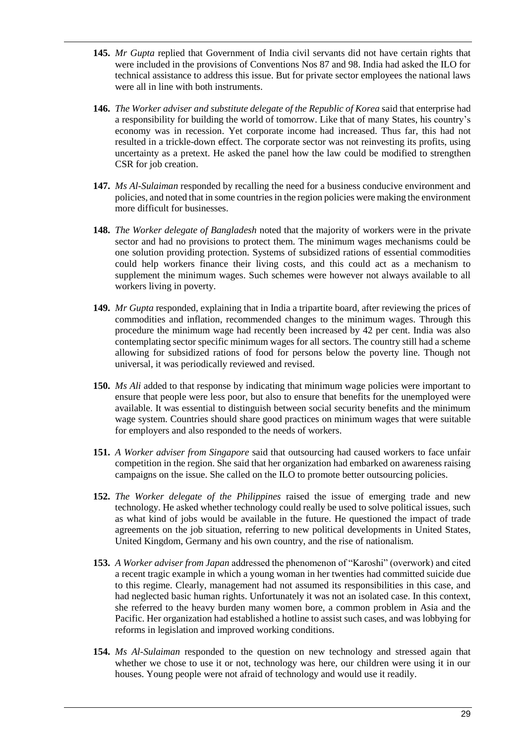- **145.** *Mr Gupta* replied that Government of India civil servants did not have certain rights that were included in the provisions of Conventions Nos 87 and 98. India had asked the ILO for technical assistance to address this issue. But for private sector employees the national laws were all in line with both instruments.
- **146.** *The Worker adviser and substitute delegate of the Republic of Korea* said that enterprise had a responsibility for building the world of tomorrow. Like that of many States, his country's economy was in recession. Yet corporate income had increased. Thus far, this had not resulted in a trickle-down effect. The corporate sector was not reinvesting its profits, using uncertainty as a pretext. He asked the panel how the law could be modified to strengthen CSR for job creation.
- **147.** *Ms Al-Sulaiman* responded by recalling the need for a business conducive environment and policies, and noted that in some countries in the region policies were making the environment more difficult for businesses.
- **148.** *The Worker delegate of Bangladesh* noted that the majority of workers were in the private sector and had no provisions to protect them. The minimum wages mechanisms could be one solution providing protection. Systems of subsidized rations of essential commodities could help workers finance their living costs, and this could act as a mechanism to supplement the minimum wages. Such schemes were however not always available to all workers living in poverty.
- **149.** *Mr Gupta* responded, explaining that in India a tripartite board, after reviewing the prices of commodities and inflation, recommended changes to the minimum wages. Through this procedure the minimum wage had recently been increased by 42 per cent. India was also contemplating sector specific minimum wages for all sectors. The country still had a scheme allowing for subsidized rations of food for persons below the poverty line. Though not universal, it was periodically reviewed and revised.
- **150.** *Ms Ali* added to that response by indicating that minimum wage policies were important to ensure that people were less poor, but also to ensure that benefits for the unemployed were available. It was essential to distinguish between social security benefits and the minimum wage system. Countries should share good practices on minimum wages that were suitable for employers and also responded to the needs of workers.
- **151.** *A Worker adviser from Singapore* said that outsourcing had caused workers to face unfair competition in the region. She said that her organization had embarked on awareness raising campaigns on the issue. She called on the ILO to promote better outsourcing policies.
- **152.** *The Worker delegate of the Philippines* raised the issue of emerging trade and new technology. He asked whether technology could really be used to solve political issues, such as what kind of jobs would be available in the future. He questioned the impact of trade agreements on the job situation, referring to new political developments in United States, United Kingdom, Germany and his own country, and the rise of nationalism.
- **153.** *A Worker adviser from Japan* addressed the phenomenon of "Karoshi" (overwork) and cited a recent tragic example in which a young woman in her twenties had committed suicide due to this regime. Clearly, management had not assumed its responsibilities in this case, and had neglected basic human rights. Unfortunately it was not an isolated case. In this context, she referred to the heavy burden many women bore, a common problem in Asia and the Pacific. Her organization had established a hotline to assist such cases, and was lobbying for reforms in legislation and improved working conditions.
- **154.** *Ms Al-Sulaiman* responded to the question on new technology and stressed again that whether we chose to use it or not, technology was here, our children were using it in our houses. Young people were not afraid of technology and would use it readily.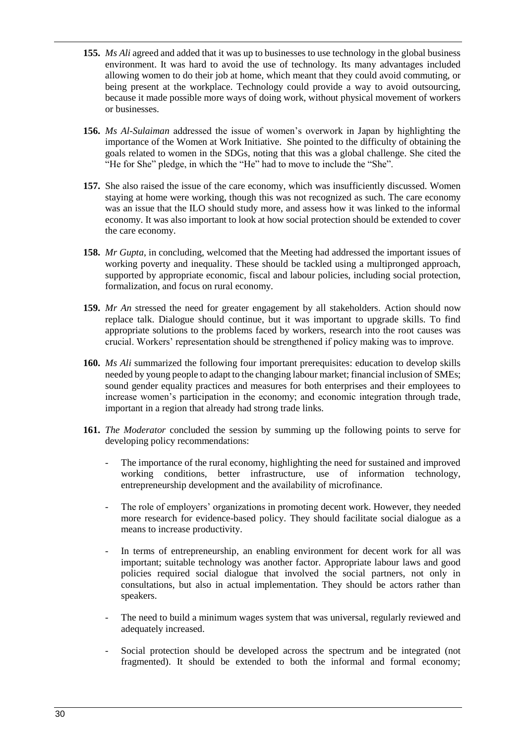- **155.** *Ms Ali* agreed and added that it was up to businesses to use technology in the global business environment. It was hard to avoid the use of technology. Its many advantages included allowing women to do their job at home, which meant that they could avoid commuting, or being present at the workplace. Technology could provide a way to avoid outsourcing, because it made possible more ways of doing work, without physical movement of workers or businesses.
- **156.** *Ms Al-Sulaiman* addressed the issue of women's overwork in Japan by highlighting the importance of the Women at Work Initiative. She pointed to the difficulty of obtaining the goals related to women in the SDGs, noting that this was a global challenge. She cited the "He for She" pledge, in which the "He" had to move to include the "She".
- **157.** She also raised the issue of the care economy, which was insufficiently discussed. Women staying at home were working, though this was not recognized as such. The care economy was an issue that the ILO should study more, and assess how it was linked to the informal economy. It was also important to look at how social protection should be extended to cover the care economy.
- **158.** *Mr Gupta*, in concluding, welcomed that the Meeting had addressed the important issues of working poverty and inequality. These should be tackled using a multipronged approach, supported by appropriate economic, fiscal and labour policies, including social protection, formalization, and focus on rural economy.
- **159.** *Mr An* stressed the need for greater engagement by all stakeholders. Action should now replace talk. Dialogue should continue, but it was important to upgrade skills. To find appropriate solutions to the problems faced by workers, research into the root causes was crucial. Workers' representation should be strengthened if policy making was to improve.
- **160.** *Ms Ali* summarized the following four important prerequisites: education to develop skills needed by young people to adapt to the changing labour market; financial inclusion of SMEs; sound gender equality practices and measures for both enterprises and their employees to increase women's participation in the economy; and economic integration through trade, important in a region that already had strong trade links.
- **161.** *The Moderator* concluded the session by summing up the following points to serve for developing policy recommendations:
	- The importance of the rural economy, highlighting the need for sustained and improved working conditions, better infrastructure, use of information technology, entrepreneurship development and the availability of microfinance.
	- The role of employers' organizations in promoting decent work. However, they needed more research for evidence-based policy. They should facilitate social dialogue as a means to increase productivity.
	- In terms of entrepreneurship, an enabling environment for decent work for all was important; suitable technology was another factor. Appropriate labour laws and good policies required social dialogue that involved the social partners, not only in consultations, but also in actual implementation. They should be actors rather than speakers.
	- The need to build a minimum wages system that was universal, regularly reviewed and adequately increased.
	- Social protection should be developed across the spectrum and be integrated (not fragmented). It should be extended to both the informal and formal economy;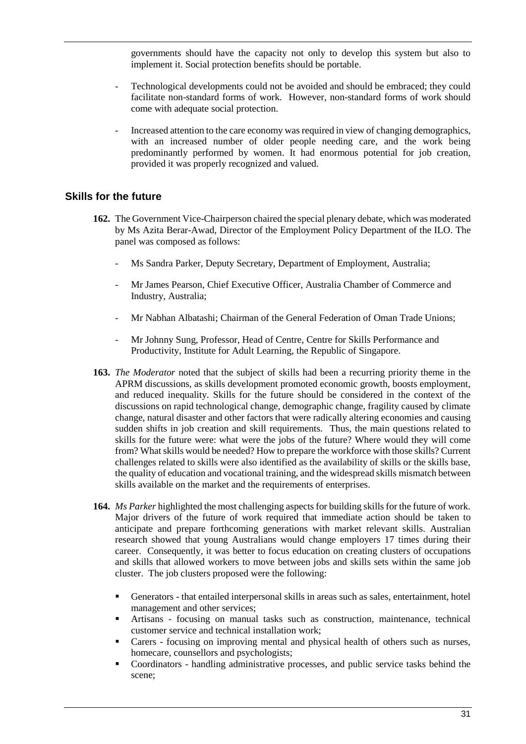governments should have the capacity not only to develop this system but also to implement it. Social protection benefits should be portable.

- Technological developments could not be avoided and should be embraced; they could facilitate non-standard forms of work. However, non-standard forms of work should come with adequate social protection.
- Increased attention to the care economy was required in view of changing demographics, with an increased number of older people needing care, and the work being predominantly performed by women. It had enormous potential for job creation, provided it was properly recognized and valued.

#### <span id="page-30-0"></span>**Skills for the future**

- **162.** The Government Vice-Chairperson chaired the special plenary debate, which was moderated by Ms Azita Berar-Awad, Director of the Employment Policy Department of the ILO. The panel was composed as follows:
	- Ms Sandra Parker, Deputy Secretary, Department of Employment, Australia;
	- Mr James Pearson, Chief Executive Officer, Australia Chamber of Commerce and Industry, Australia;
	- Mr Nabhan Albatashi; Chairman of the General Federation of Oman Trade Unions;
	- Mr Johnny Sung, Professor, Head of Centre, Centre for Skills Performance and Productivity, Institute for Adult Learning, the Republic of Singapore.
- **163.** *The Moderator* noted that the subject of skills had been a recurring priority theme in the APRM discussions, as skills development promoted economic growth, boosts employment, and reduced inequality. Skills for the future should be considered in the context of the discussions on rapid technological change, demographic change, fragility caused by climate change, natural disaster and other factors that were radically altering economies and causing sudden shifts in job creation and skill requirements. Thus, the main questions related to skills for the future were: what were the jobs of the future? Where would they will come from? What skills would be needed? How to prepare the workforce with those skills? Current challenges related to skills were also identified as the availability of skills or the skills base, the quality of education and vocational training, and the widespread skills mismatch between skills available on the market and the requirements of enterprises.
- **164.** *Ms Parker* highlighted the most challenging aspects for building skills for the future of work. Major drivers of the future of work required that immediate action should be taken to anticipate and prepare forthcoming generations with market relevant skills. Australian research showed that young Australians would change employers 17 times during their career. Consequently, it was better to focus education on creating clusters of occupations and skills that allowed workers to move between jobs and skills sets within the same job cluster. The job clusters proposed were the following:
	- Generators that entailed interpersonal skills in areas such as sales, entertainment, hotel management and other services;
	- Artisans focusing on manual tasks such as construction, maintenance, technical customer service and technical installation work;
	- Carers focusing on improving mental and physical health of others such as nurses, homecare, counsellors and psychologists;
	- Coordinators handling administrative processes, and public service tasks behind the scene;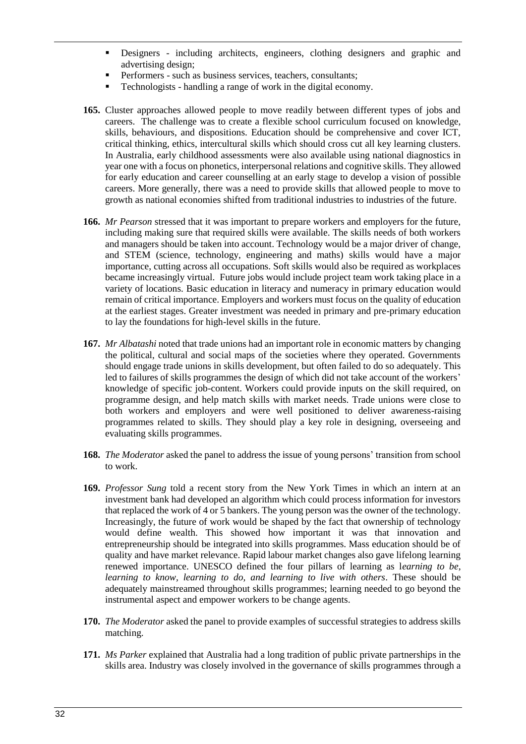- Designers including architects, engineers, clothing designers and graphic and advertising design;
- Performers such as business services, teachers, consultants;
- Technologists handling a range of work in the digital economy.
- **165.** Cluster approaches allowed people to move readily between different types of jobs and careers. The challenge was to create a flexible school curriculum focused on knowledge, skills, behaviours, and dispositions. Education should be comprehensive and cover ICT, critical thinking, ethics, intercultural skills which should cross cut all key learning clusters. In Australia, early childhood assessments were also available using national diagnostics in year one with a focus on phonetics, interpersonal relations and cognitive skills. They allowed for early education and career counselling at an early stage to develop a vision of possible careers. More generally, there was a need to provide skills that allowed people to move to growth as national economies shifted from traditional industries to industries of the future.
- **166.** *Mr Pearson* stressed that it was important to prepare workers and employers for the future, including making sure that required skills were available. The skills needs of both workers and managers should be taken into account. Technology would be a major driver of change, and STEM (science, technology, engineering and maths) skills would have a major importance, cutting across all occupations. Soft skills would also be required as workplaces became increasingly virtual. Future jobs would include project team work taking place in a variety of locations. Basic education in literacy and numeracy in primary education would remain of critical importance. Employers and workers must focus on the quality of education at the earliest stages. Greater investment was needed in primary and pre-primary education to lay the foundations for high-level skills in the future.
- **167.** *Mr Albatashi* noted that trade unions had an important role in economic matters by changing the political, cultural and social maps of the societies where they operated. Governments should engage trade unions in skills development, but often failed to do so adequately. This led to failures of skills programmes the design of which did not take account of the workers' knowledge of specific job-content. Workers could provide inputs on the skill required, on programme design, and help match skills with market needs. Trade unions were close to both workers and employers and were well positioned to deliver awareness-raising programmes related to skills. They should play a key role in designing, overseeing and evaluating skills programmes.
- **168.** *The Moderator* asked the panel to address the issue of young persons' transition from school to work.
- **169.** *Professor Sung* told a recent story from the New York Times in which an intern at an investment bank had developed an algorithm which could process information for investors that replaced the work of 4 or 5 bankers. The young person was the owner of the technology. Increasingly, the future of work would be shaped by the fact that ownership of technology would define wealth. This showed how important it was that innovation and entrepreneurship should be integrated into skills programmes. Mass education should be of quality and have market relevance. Rapid labour market changes also gave lifelong learning renewed importance. UNESCO defined the four pillars of learning as l*earning to be, learning to know, learning to do, and learning to live with others*. These should be adequately mainstreamed throughout skills programmes; learning needed to go beyond the instrumental aspect and empower workers to be change agents.
- **170.** *The Moderator* asked the panel to provide examples of successful strategies to address skills matching.
- **171.** *Ms Parker* explained that Australia had a long tradition of public private partnerships in the skills area. Industry was closely involved in the governance of skills programmes through a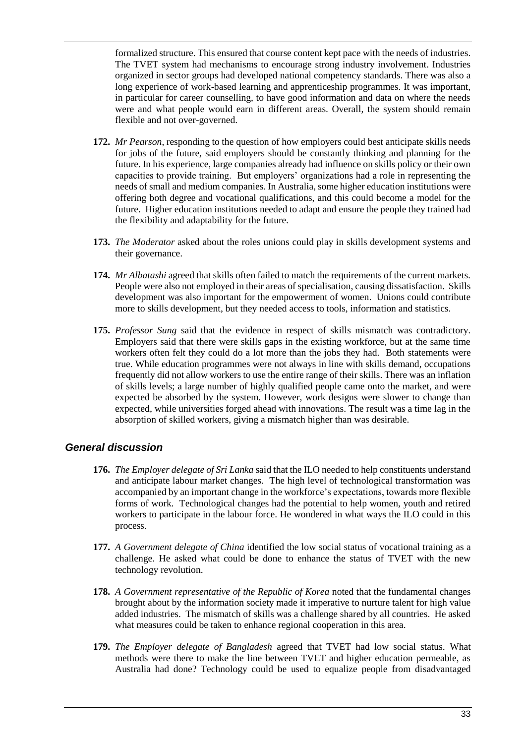formalized structure. This ensured that course content kept pace with the needs of industries. The TVET system had mechanisms to encourage strong industry involvement. Industries organized in sector groups had developed national competency standards. There was also a long experience of work-based learning and apprenticeship programmes. It was important, in particular for career counselling, to have good information and data on where the needs were and what people would earn in different areas. Overall, the system should remain flexible and not over-governed.

- **172.** *Mr Pearson*, responding to the question of how employers could best anticipate skills needs for jobs of the future, said employers should be constantly thinking and planning for the future. In his experience, large companies already had influence on skills policy or their own capacities to provide training. But employers' organizations had a role in representing the needs of small and medium companies. In Australia, some higher education institutions were offering both degree and vocational qualifications, and this could become a model for the future. Higher education institutions needed to adapt and ensure the people they trained had the flexibility and adaptability for the future.
- **173.** *The Moderator* asked about the roles unions could play in skills development systems and their governance.
- **174.** *Mr Albatashi* agreed that skills often failed to match the requirements of the current markets. People were also not employed in their areas of specialisation, causing dissatisfaction. Skills development was also important for the empowerment of women. Unions could contribute more to skills development, but they needed access to tools, information and statistics.
- **175.** *Professor Sung* said that the evidence in respect of skills mismatch was contradictory. Employers said that there were skills gaps in the existing workforce, but at the same time workers often felt they could do a lot more than the jobs they had. Both statements were true. While education programmes were not always in line with skills demand, occupations frequently did not allow workers to use the entire range of their skills. There was an inflation of skills levels; a large number of highly qualified people came onto the market, and were expected be absorbed by the system. However, work designs were slower to change than expected, while universities forged ahead with innovations. The result was a time lag in the absorption of skilled workers, giving a mismatch higher than was desirable.

## *General discussion*

- **176.** *The Employer delegate of Sri Lanka* said that the ILO needed to help constituents understand and anticipate labour market changes. The high level of technological transformation was accompanied by an important change in the workforce's expectations, towards more flexible forms of work. Technological changes had the potential to help women, youth and retired workers to participate in the labour force. He wondered in what ways the ILO could in this process.
- **177.** *A Government delegate of China* identified the low social status of vocational training as a challenge. He asked what could be done to enhance the status of TVET with the new technology revolution.
- **178.** *A Government representative of the Republic of Korea* noted that the fundamental changes brought about by the information society made it imperative to nurture talent for high value added industries. The mismatch of skills was a challenge shared by all countries. He asked what measures could be taken to enhance regional cooperation in this area.
- **179.** *The Employer delegate of Bangladesh* agreed that TVET had low social status. What methods were there to make the line between TVET and higher education permeable, as Australia had done? Technology could be used to equalize people from disadvantaged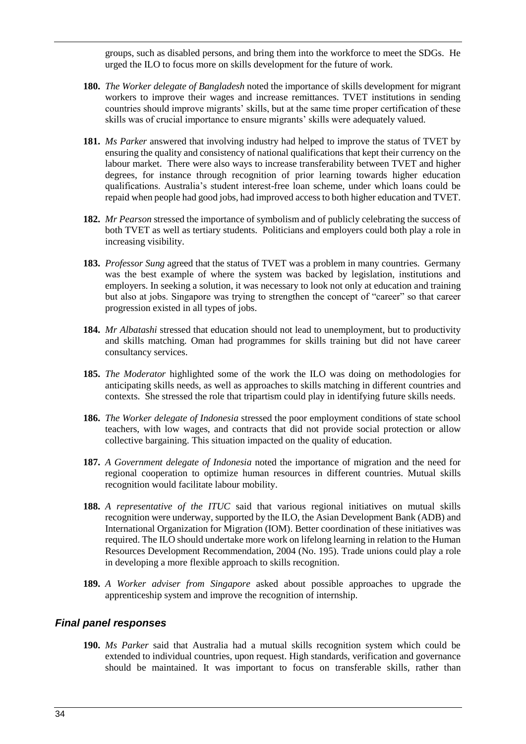groups, such as disabled persons, and bring them into the workforce to meet the SDGs. He urged the ILO to focus more on skills development for the future of work.

- **180.** *The Worker delegate of Bangladesh* noted the importance of skills development for migrant workers to improve their wages and increase remittances. TVET institutions in sending countries should improve migrants' skills, but at the same time proper certification of these skills was of crucial importance to ensure migrants' skills were adequately valued.
- **181.** *Ms Parker* answered that involving industry had helped to improve the status of TVET by ensuring the quality and consistency of national qualifications that kept their currency on the labour market. There were also ways to increase transferability between TVET and higher degrees, for instance through recognition of prior learning towards higher education qualifications. Australia's student interest-free loan scheme, under which loans could be repaid when people had good jobs, had improved access to both higher education and TVET.
- **182.** *Mr Pearson* stressed the importance of symbolism and of publicly celebrating the success of both TVET as well as tertiary students. Politicians and employers could both play a role in increasing visibility.
- **183.** *Professor Sung* agreed that the status of TVET was a problem in many countries. Germany was the best example of where the system was backed by legislation, institutions and employers. In seeking a solution, it was necessary to look not only at education and training but also at jobs. Singapore was trying to strengthen the concept of "career" so that career progression existed in all types of jobs.
- **184.** *Mr Albatashi* stressed that education should not lead to unemployment, but to productivity and skills matching. Oman had programmes for skills training but did not have career consultancy services.
- **185.** *The Moderator* highlighted some of the work the ILO was doing on methodologies for anticipating skills needs, as well as approaches to skills matching in different countries and contexts. She stressed the role that tripartism could play in identifying future skills needs.
- **186.** *The Worker delegate of Indonesia* stressed the poor employment conditions of state school teachers, with low wages, and contracts that did not provide social protection or allow collective bargaining. This situation impacted on the quality of education.
- **187.** *A Government delegate of Indonesia* noted the importance of migration and the need for regional cooperation to optimize human resources in different countries. Mutual skills recognition would facilitate labour mobility.
- **188.** *A representative of the ITUC* said that various regional initiatives on mutual skills recognition were underway, supported by the ILO, the Asian Development Bank (ADB) and International Organization for Migration (IOM). Better coordination of these initiatives was required. The ILO should undertake more work on lifelong learning in relation to the Human Resources Development Recommendation, 2004 (No. 195). Trade unions could play a role in developing a more flexible approach to skills recognition.
- **189.** *A Worker adviser from Singapore* asked about possible approaches to upgrade the apprenticeship system and improve the recognition of internship.

#### *Final panel responses*

**190.** *Ms Parker* said that Australia had a mutual skills recognition system which could be extended to individual countries, upon request. High standards, verification and governance should be maintained. It was important to focus on transferable skills, rather than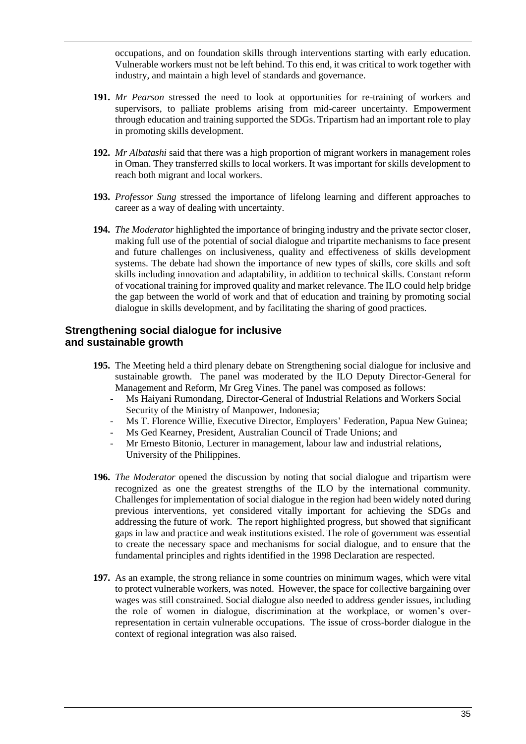occupations, and on foundation skills through interventions starting with early education. Vulnerable workers must not be left behind. To this end, it was critical to work together with industry, and maintain a high level of standards and governance.

- **191.** *Mr Pearson* stressed the need to look at opportunities for re-training of workers and supervisors, to palliate problems arising from mid-career uncertainty. Empowerment through education and training supported the SDGs. Tripartism had an important role to play in promoting skills development.
- **192.** *Mr Albatashi* said that there was a high proportion of migrant workers in management roles in Oman. They transferred skills to local workers. It was important for skills development to reach both migrant and local workers.
- **193.** *Professor Sung* stressed the importance of lifelong learning and different approaches to career as a way of dealing with uncertainty.
- **194.** *The Moderator* highlighted the importance of bringing industry and the private sector closer, making full use of the potential of social dialogue and tripartite mechanisms to face present and future challenges on inclusiveness, quality and effectiveness of skills development systems. The debate had shown the importance of new types of skills, core skills and soft skills including innovation and adaptability, in addition to technical skills. Constant reform of vocational training for improved quality and market relevance. The ILO could help bridge the gap between the world of work and that of education and training by promoting social dialogue in skills development, and by facilitating the sharing of good practices.

## <span id="page-34-0"></span>**Strengthening social dialogue for inclusive and sustainable growth**

- **195.** The Meeting held a third plenary debate on Strengthening social dialogue for inclusive and sustainable growth. The panel was moderated by the ILO Deputy Director-General for Management and Reform, Mr Greg Vines. The panel was composed as follows:
	- Ms Haiyani Rumondang, Director-General of Industrial Relations and Workers Social Security of the Ministry of Manpower, Indonesia;
	- Ms T. Florence Willie, Executive Director, Employers' Federation, Papua New Guinea;
	- Ms Ged Kearney, President, Australian Council of Trade Unions; and
	- Mr Ernesto Bitonio, Lecturer in management, labour law and industrial relations, University of the Philippines.
- **196.** *The Moderator* opened the discussion by noting that social dialogue and tripartism were recognized as one the greatest strengths of the ILO by the international community. Challenges for implementation of social dialogue in the region had been widely noted during previous interventions, yet considered vitally important for achieving the SDGs and addressing the future of work. The report highlighted progress, but showed that significant gaps in law and practice and weak institutions existed. The role of government was essential to create the necessary space and mechanisms for social dialogue, and to ensure that the fundamental principles and rights identified in the 1998 Declaration are respected.
- **197.** As an example, the strong reliance in some countries on minimum wages, which were vital to protect vulnerable workers, was noted. However, the space for collective bargaining over wages was still constrained. Social dialogue also needed to address gender issues, including the role of women in dialogue, discrimination at the workplace, or women's overrepresentation in certain vulnerable occupations. The issue of cross-border dialogue in the context of regional integration was also raised.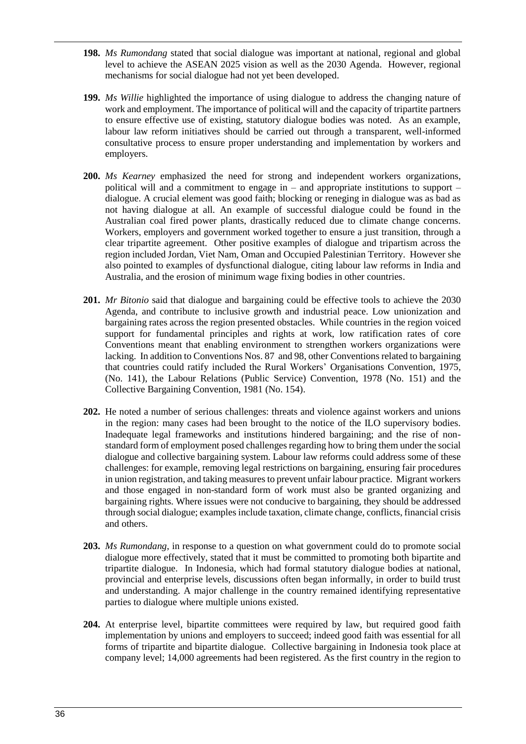- **198.** *Ms Rumondang* stated that social dialogue was important at national, regional and global level to achieve the ASEAN 2025 vision as well as the 2030 Agenda. However, regional mechanisms for social dialogue had not yet been developed.
- **199.** *Ms Willie* highlighted the importance of using dialogue to address the changing nature of work and employment. The importance of political will and the capacity of tripartite partners to ensure effective use of existing, statutory dialogue bodies was noted. As an example, labour law reform initiatives should be carried out through a transparent, well-informed consultative process to ensure proper understanding and implementation by workers and employers.
- **200.** *Ms Kearney* emphasized the need for strong and independent workers organizations, political will and a commitment to engage in – and appropriate institutions to support – dialogue. A crucial element was good faith; blocking or reneging in dialogue was as bad as not having dialogue at all. An example of successful dialogue could be found in the Australian coal fired power plants, drastically reduced due to climate change concerns. Workers, employers and government worked together to ensure a just transition, through a clear tripartite agreement. Other positive examples of dialogue and tripartism across the region included Jordan, Viet Nam, Oman and Occupied Palestinian Territory. However she also pointed to examples of dysfunctional dialogue, citing labour law reforms in India and Australia, and the erosion of minimum wage fixing bodies in other countries.
- **201.** *Mr Bitonio* said that dialogue and bargaining could be effective tools to achieve the 2030 Agenda, and contribute to inclusive growth and industrial peace. Low unionization and bargaining rates across the region presented obstacles. While countries in the region voiced support for fundamental principles and rights at work, low ratification rates of core Conventions meant that enabling environment to strengthen workers organizations were lacking. In addition to Conventions Nos. 87 and 98, other Conventions related to bargaining that countries could ratify included the Rural Workers' Organisations Convention, 1975, (No. 141), the Labour Relations (Public Service) Convention, 1978 (No. 151) and the Collective Bargaining Convention, 1981 (No. 154).
- **202.** He noted a number of serious challenges: threats and violence against workers and unions in the region: many cases had been brought to the notice of the ILO supervisory bodies. Inadequate legal frameworks and institutions hindered bargaining; and the rise of nonstandard form of employment posed challenges regarding how to bring them under the social dialogue and collective bargaining system. Labour law reforms could address some of these challenges: for example, removing legal restrictions on bargaining, ensuring fair procedures in union registration, and taking measures to prevent unfair labour practice. Migrant workers and those engaged in non-standard form of work must also be granted organizing and bargaining rights. Where issues were not conducive to bargaining, they should be addressed through social dialogue; examples include taxation, climate change, conflicts, financial crisis and others.
- **203.** *Ms Rumondang*, in response to a question on what government could do to promote social dialogue more effectively, stated that it must be committed to promoting both bipartite and tripartite dialogue. In Indonesia, which had formal statutory dialogue bodies at national, provincial and enterprise levels, discussions often began informally, in order to build trust and understanding. A major challenge in the country remained identifying representative parties to dialogue where multiple unions existed.
- **204.** At enterprise level, bipartite committees were required by law, but required good faith implementation by unions and employers to succeed; indeed good faith was essential for all forms of tripartite and bipartite dialogue. Collective bargaining in Indonesia took place at company level; 14,000 agreements had been registered. As the first country in the region to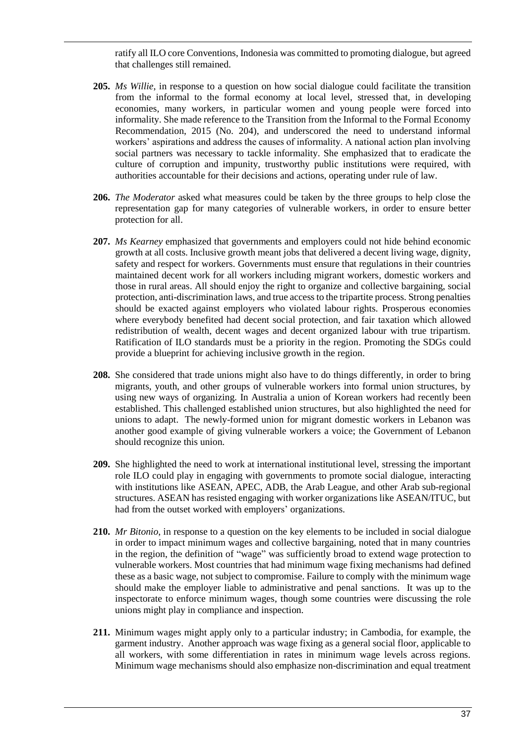ratify all ILO core Conventions, Indonesia was committed to promoting dialogue, but agreed that challenges still remained.

- **205.** *Ms Willie*, in response to a question on how social dialogue could facilitate the transition from the informal to the formal economy at local level, stressed that, in developing economies, many workers, in particular women and young people were forced into informality. She made reference to the Transition from the Informal to the Formal Economy Recommendation, 2015 (No. 204), and underscored the need to understand informal workers' aspirations and address the causes of informality. A national action plan involving social partners was necessary to tackle informality. She emphasized that to eradicate the culture of corruption and impunity, trustworthy public institutions were required, with authorities accountable for their decisions and actions, operating under rule of law.
- **206.** *The Moderator* asked what measures could be taken by the three groups to help close the representation gap for many categories of vulnerable workers, in order to ensure better protection for all.
- **207.** *Ms Kearney* emphasized that governments and employers could not hide behind economic growth at all costs. Inclusive growth meant jobs that delivered a decent living wage, dignity, safety and respect for workers. Governments must ensure that regulations in their countries maintained decent work for all workers including migrant workers, domestic workers and those in rural areas. All should enjoy the right to organize and collective bargaining, social protection, anti-discrimination laws, and true access to the tripartite process. Strong penalties should be exacted against employers who violated labour rights. Prosperous economies where everybody benefited had decent social protection, and fair taxation which allowed redistribution of wealth, decent wages and decent organized labour with true tripartism. Ratification of ILO standards must be a priority in the region. Promoting the SDGs could provide a blueprint for achieving inclusive growth in the region.
- **208.** She considered that trade unions might also have to do things differently, in order to bring migrants, youth, and other groups of vulnerable workers into formal union structures, by using new ways of organizing. In Australia a union of Korean workers had recently been established. This challenged established union structures, but also highlighted the need for unions to adapt. The newly-formed union for migrant domestic workers in Lebanon was another good example of giving vulnerable workers a voice; the Government of Lebanon should recognize this union.
- **209.** She highlighted the need to work at international institutional level, stressing the important role ILO could play in engaging with governments to promote social dialogue, interacting with institutions like ASEAN, APEC, ADB, the Arab League, and other Arab sub-regional structures. ASEAN has resisted engaging with worker organizations like ASEAN/ITUC, but had from the outset worked with employers' organizations.
- **210.** *Mr Bitonio*, in response to a question on the key elements to be included in social dialogue in order to impact minimum wages and collective bargaining, noted that in many countries in the region, the definition of "wage" was sufficiently broad to extend wage protection to vulnerable workers. Most countries that had minimum wage fixing mechanisms had defined these as a basic wage, not subject to compromise. Failure to comply with the minimum wage should make the employer liable to administrative and penal sanctions. It was up to the inspectorate to enforce minimum wages, though some countries were discussing the role unions might play in compliance and inspection.
- **211.** Minimum wages might apply only to a particular industry; in Cambodia, for example, the garment industry. Another approach was wage fixing as a general social floor, applicable to all workers, with some differentiation in rates in minimum wage levels across regions. Minimum wage mechanisms should also emphasize non-discrimination and equal treatment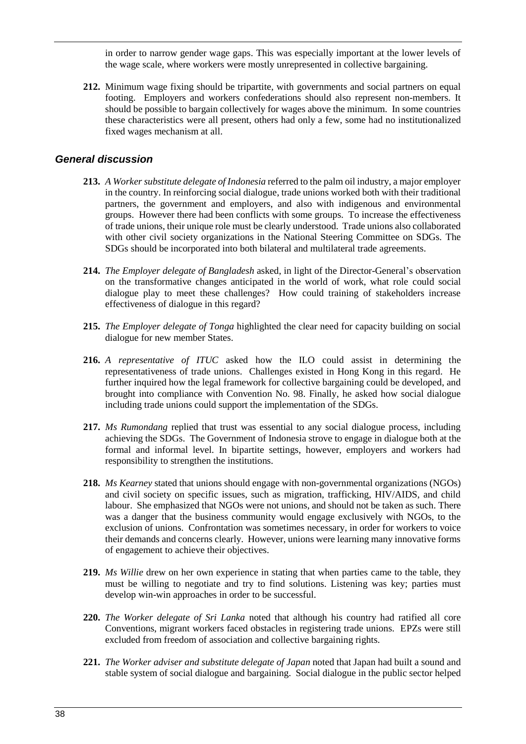in order to narrow gender wage gaps. This was especially important at the lower levels of the wage scale, where workers were mostly unrepresented in collective bargaining.

**212.** Minimum wage fixing should be tripartite, with governments and social partners on equal footing. Employers and workers confederations should also represent non-members. It should be possible to bargain collectively for wages above the minimum. In some countries these characteristics were all present, others had only a few, some had no institutionalized fixed wages mechanism at all.

#### *General discussion*

- **213.** *A Worker substitute delegate of Indonesia* referred to the palm oil industry, a major employer in the country. In reinforcing social dialogue, trade unions worked both with their traditional partners, the government and employers, and also with indigenous and environmental groups. However there had been conflicts with some groups. To increase the effectiveness of trade unions, their unique role must be clearly understood. Trade unions also collaborated with other civil society organizations in the National Steering Committee on SDGs. The SDGs should be incorporated into both bilateral and multilateral trade agreements.
- **214.** *The Employer delegate of Bangladesh* asked, in light of the Director-General's observation on the transformative changes anticipated in the world of work, what role could social dialogue play to meet these challenges? How could training of stakeholders increase effectiveness of dialogue in this regard?
- **215.** *The Employer delegate of Tonga* highlighted the clear need for capacity building on social dialogue for new member States.
- **216.** *A representative of ITUC* asked how the ILO could assist in determining the representativeness of trade unions. Challenges existed in Hong Kong in this regard. He further inquired how the legal framework for collective bargaining could be developed, and brought into compliance with Convention No. 98. Finally, he asked how social dialogue including trade unions could support the implementation of the SDGs.
- **217.** *Ms Rumondang* replied that trust was essential to any social dialogue process, including achieving the SDGs. The Government of Indonesia strove to engage in dialogue both at the formal and informal level. In bipartite settings, however, employers and workers had responsibility to strengthen the institutions.
- **218.** *Ms Kearney* stated that unions should engage with non-governmental organizations (NGOs) and civil society on specific issues, such as migration, trafficking, HIV/AIDS, and child labour. She emphasized that NGOs were not unions, and should not be taken as such. There was a danger that the business community would engage exclusively with NGOs, to the exclusion of unions. Confrontation was sometimes necessary, in order for workers to voice their demands and concerns clearly. However, unions were learning many innovative forms of engagement to achieve their objectives.
- **219.** *Ms Willie* drew on her own experience in stating that when parties came to the table, they must be willing to negotiate and try to find solutions. Listening was key; parties must develop win-win approaches in order to be successful.
- **220.** *The Worker delegate of Sri Lanka* noted that although his country had ratified all core Conventions, migrant workers faced obstacles in registering trade unions. EPZs were still excluded from freedom of association and collective bargaining rights.
- **221.** *The Worker adviser and substitute delegate of Japan* noted that Japan had built a sound and stable system of social dialogue and bargaining. Social dialogue in the public sector helped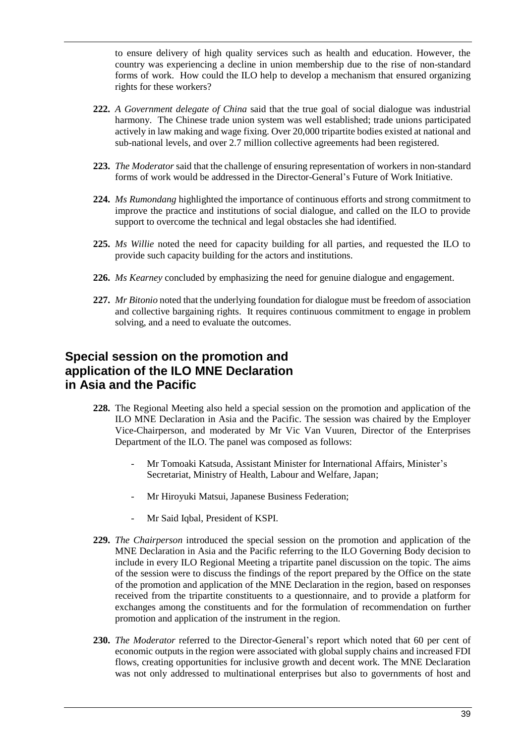to ensure delivery of high quality services such as health and education. However, the country was experiencing a decline in union membership due to the rise of non-standard forms of work. How could the ILO help to develop a mechanism that ensured organizing rights for these workers?

- **222.** *A Government delegate of China* said that the true goal of social dialogue was industrial harmony. The Chinese trade union system was well established; trade unions participated actively in law making and wage fixing. Over 20,000 tripartite bodies existed at national and sub-national levels, and over 2.7 million collective agreements had been registered.
- **223.** *The Moderator* said that the challenge of ensuring representation of workers in non-standard forms of work would be addressed in the Director-General's Future of Work Initiative.
- **224.** *Ms Rumondang* highlighted the importance of continuous efforts and strong commitment to improve the practice and institutions of social dialogue, and called on the ILO to provide support to overcome the technical and legal obstacles she had identified.
- **225.** *Ms Willie* noted the need for capacity building for all parties, and requested the ILO to provide such capacity building for the actors and institutions.
- **226.** *Ms Kearney* concluded by emphasizing the need for genuine dialogue and engagement.
- **227.** *Mr Bitonio* noted that the underlying foundation for dialogue must be freedom of association and collective bargaining rights. It requires continuous commitment to engage in problem solving, and a need to evaluate the outcomes.

# <span id="page-38-0"></span>**Special session on the promotion and application of the ILO MNE Declaration in Asia and the Pacific**

- **228.** The Regional Meeting also held a special session on the promotion and application of the ILO MNE Declaration in Asia and the Pacific. The session was chaired by the Employer Vice-Chairperson, and moderated by Mr Vic Van Vuuren, Director of the Enterprises Department of the ILO. The panel was composed as follows:
	- Mr Tomoaki Katsuda, Assistant Minister for International Affairs, Minister's Secretariat, Ministry of Health, Labour and Welfare, Japan;
	- Mr Hiroyuki Matsui, Japanese Business Federation;
	- Mr Said Iqbal, President of KSPI.
- **229.** *The Chairperson* introduced the special session on the promotion and application of the MNE Declaration in Asia and the Pacific referring to the ILO Governing Body decision to include in every ILO Regional Meeting a tripartite panel discussion on the topic. The aims of the session were to discuss the findings of the report prepared by the Office on the state of the promotion and application of the MNE Declaration in the region, based on responses received from the tripartite constituents to a questionnaire, and to provide a platform for exchanges among the constituents and for the formulation of recommendation on further promotion and application of the instrument in the region.
- **230.** *The Moderator* referred to the Director-General's report which noted that 60 per cent of economic outputs in the region were associated with global supply chains and increased FDI flows, creating opportunities for inclusive growth and decent work. The MNE Declaration was not only addressed to multinational enterprises but also to governments of host and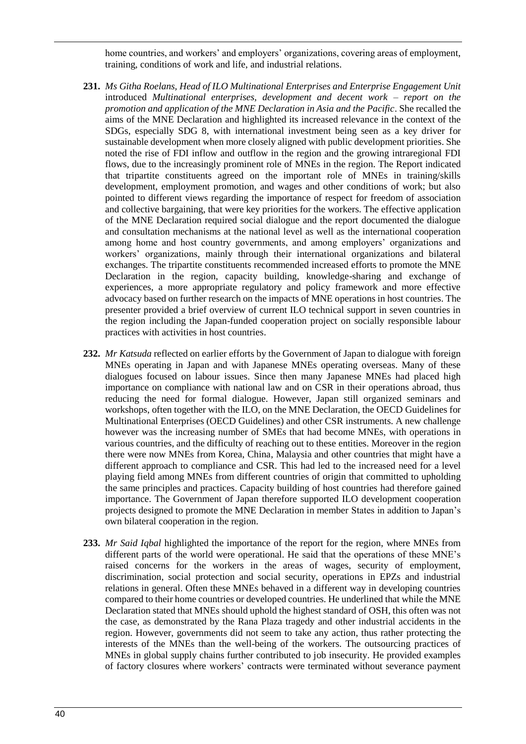home countries, and workers' and employers' organizations, covering areas of employment, training, conditions of work and life, and industrial relations.

- **231.** *Ms Githa Roelans, Head of ILO Multinational Enterprises and Enterprise Engagement Unit* introduced *Multinational enterprises, development and decent work – report on the promotion and application of the MNE Declaration in Asia and the Pacific*. She recalled the aims of the MNE Declaration and highlighted its increased relevance in the context of the SDGs, especially SDG 8, with international investment being seen as a key driver for sustainable development when more closely aligned with public development priorities. She noted the rise of FDI inflow and outflow in the region and the growing intraregional FDI flows, due to the increasingly prominent role of MNEs in the region. The Report indicated that tripartite constituents agreed on the important role of MNEs in training/skills development, employment promotion, and wages and other conditions of work; but also pointed to different views regarding the importance of respect for freedom of association and collective bargaining, that were key priorities for the workers. The effective application of the MNE Declaration required social dialogue and the report documented the dialogue and consultation mechanisms at the national level as well as the international cooperation among home and host country governments, and among employers' organizations and workers' organizations, mainly through their international organizations and bilateral exchanges. The tripartite constituents recommended increased efforts to promote the MNE Declaration in the region, capacity building, knowledge-sharing and exchange of experiences, a more appropriate regulatory and policy framework and more effective advocacy based on further research on the impacts of MNE operations in host countries. The presenter provided a brief overview of current ILO technical support in seven countries in the region including the Japan-funded cooperation project on socially responsible labour practices with activities in host countries.
- **232.** *Mr Katsuda* reflected on earlier efforts by the Government of Japan to dialogue with foreign MNEs operating in Japan and with Japanese MNEs operating overseas. Many of these dialogues focused on labour issues. Since then many Japanese MNEs had placed high importance on compliance with national law and on CSR in their operations abroad, thus reducing the need for formal dialogue. However, Japan still organized seminars and workshops, often together with the ILO, on the MNE Declaration, the OECD Guidelines for Multinational Enterprises (OECD Guidelines) and other CSR instruments. A new challenge however was the increasing number of SMEs that had become MNEs, with operations in various countries, and the difficulty of reaching out to these entities. Moreover in the region there were now MNEs from Korea, China, Malaysia and other countries that might have a different approach to compliance and CSR. This had led to the increased need for a level playing field among MNEs from different countries of origin that committed to upholding the same principles and practices. Capacity building of host countries had therefore gained importance. The Government of Japan therefore supported ILO development cooperation projects designed to promote the MNE Declaration in member States in addition to Japan's own bilateral cooperation in the region.
- **233.** *Mr Said Iqbal* highlighted the importance of the report for the region, where MNEs from different parts of the world were operational. He said that the operations of these MNE's raised concerns for the workers in the areas of wages, security of employment, discrimination, social protection and social security, operations in EPZs and industrial relations in general. Often these MNEs behaved in a different way in developing countries compared to their home countries or developed countries. He underlined that while the MNE Declaration stated that MNEs should uphold the highest standard of OSH, this often was not the case, as demonstrated by the Rana Plaza tragedy and other industrial accidents in the region. However, governments did not seem to take any action, thus rather protecting the interests of the MNEs than the well-being of the workers. The outsourcing practices of MNEs in global supply chains further contributed to job insecurity. He provided examples of factory closures where workers' contracts were terminated without severance payment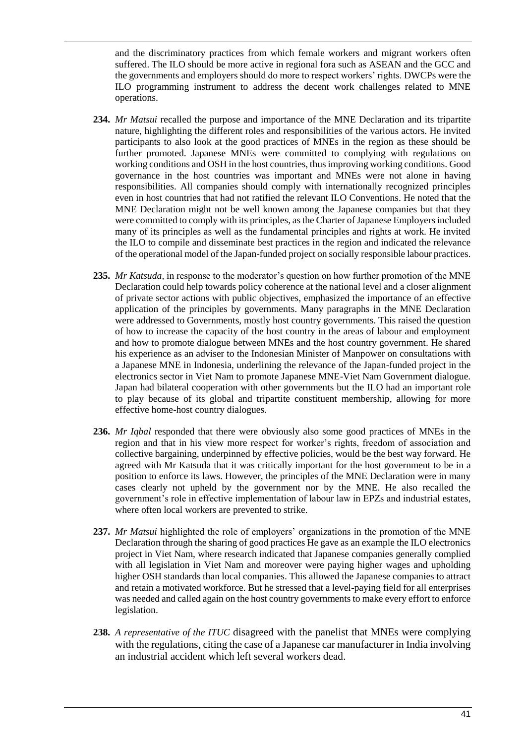and the discriminatory practices from which female workers and migrant workers often suffered. The ILO should be more active in regional fora such as ASEAN and the GCC and the governments and employers should do more to respect workers' rights. DWCPs were the ILO programming instrument to address the decent work challenges related to MNE operations.

- **234.** *Mr Matsui* recalled the purpose and importance of the MNE Declaration and its tripartite nature, highlighting the different roles and responsibilities of the various actors. He invited participants to also look at the good practices of MNEs in the region as these should be further promoted. Japanese MNEs were committed to complying with regulations on working conditions and OSH in the host countries, thus improving working conditions. Good governance in the host countries was important and MNEs were not alone in having responsibilities. All companies should comply with internationally recognized principles even in host countries that had not ratified the relevant ILO Conventions. He noted that the MNE Declaration might not be well known among the Japanese companies but that they were committed to comply with its principles, as the Charter of Japanese Employers included many of its principles as well as the fundamental principles and rights at work. He invited the ILO to compile and disseminate best practices in the region and indicated the relevance of the operational model of the Japan-funded project on socially responsible labour practices.
- **235.** *Mr Katsuda*, in response to the moderator's question on how further promotion of the MNE Declaration could help towards policy coherence at the national level and a closer alignment of private sector actions with public objectives, emphasized the importance of an effective application of the principles by governments. Many paragraphs in the MNE Declaration were addressed to Governments, mostly host country governments. This raised the question of how to increase the capacity of the host country in the areas of labour and employment and how to promote dialogue between MNEs and the host country government. He shared his experience as an adviser to the Indonesian Minister of Manpower on consultations with a Japanese MNE in Indonesia, underlining the relevance of the Japan-funded project in the electronics sector in Viet Nam to promote Japanese MNE-Viet Nam Government dialogue. Japan had bilateral cooperation with other governments but the ILO had an important role to play because of its global and tripartite constituent membership, allowing for more effective home-host country dialogues.
- **236.** *Mr Iqbal* responded that there were obviously also some good practices of MNEs in the region and that in his view more respect for worker's rights, freedom of association and collective bargaining, underpinned by effective policies, would be the best way forward. He agreed with Mr Katsuda that it was critically important for the host government to be in a position to enforce its laws. However, the principles of the MNE Declaration were in many cases clearly not upheld by the government nor by the MNE. He also recalled the government's role in effective implementation of labour law in EPZs and industrial estates, where often local workers are prevented to strike.
- **237.** *Mr Matsui* highlighted the role of employers' organizations in the promotion of the MNE Declaration through the sharing of good practices He gave as an example the ILO electronics project in Viet Nam, where research indicated that Japanese companies generally complied with all legislation in Viet Nam and moreover were paying higher wages and upholding higher OSH standards than local companies. This allowed the Japanese companies to attract and retain a motivated workforce. But he stressed that a level-paying field for all enterprises was needed and called again on the host country governments to make every effort to enforce legislation.
- **238.** *A representative of the ITUC* disagreed with the panelist that MNEs were complying with the regulations, citing the case of a Japanese car manufacturer in India involving an industrial accident which left several workers dead.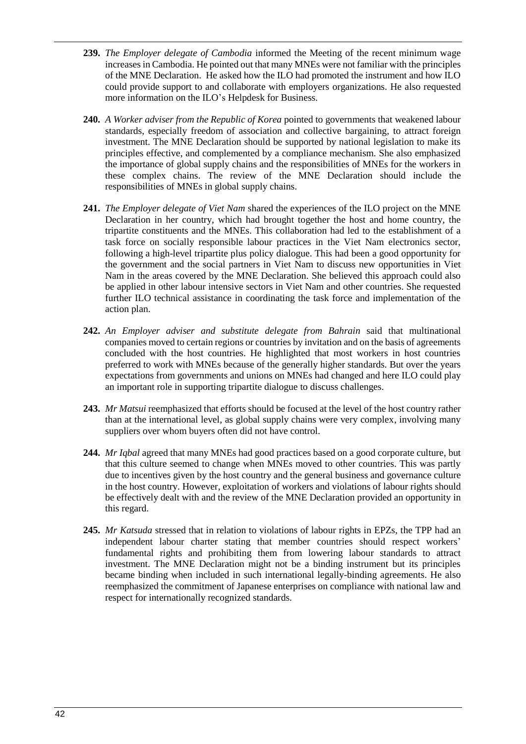- **239.** *The Employer delegate of Cambodia* informed the Meeting of the recent minimum wage increases in Cambodia. He pointed out that many MNEs were not familiar with the principles of the MNE Declaration. He asked how the ILO had promoted the instrument and how ILO could provide support to and collaborate with employers organizations. He also requested more information on the ILO's Helpdesk for Business.
- **240.** *A Worker adviser from the Republic of Korea* pointed to governments that weakened labour standards, especially freedom of association and collective bargaining, to attract foreign investment. The MNE Declaration should be supported by national legislation to make its principles effective, and complemented by a compliance mechanism. She also emphasized the importance of global supply chains and the responsibilities of MNEs for the workers in these complex chains. The review of the MNE Declaration should include the responsibilities of MNEs in global supply chains.
- **241.** *The Employer delegate of Viet Nam* shared the experiences of the ILO project on the MNE Declaration in her country, which had brought together the host and home country, the tripartite constituents and the MNEs. This collaboration had led to the establishment of a task force on socially responsible labour practices in the Viet Nam electronics sector, following a high-level tripartite plus policy dialogue. This had been a good opportunity for the government and the social partners in Viet Nam to discuss new opportunities in Viet Nam in the areas covered by the MNE Declaration. She believed this approach could also be applied in other labour intensive sectors in Viet Nam and other countries. She requested further ILO technical assistance in coordinating the task force and implementation of the action plan.
- **242.** *An Employer adviser and substitute delegate from Bahrain* said that multinational companies moved to certain regions or countries by invitation and on the basis of agreements concluded with the host countries. He highlighted that most workers in host countries preferred to work with MNEs because of the generally higher standards. But over the years expectations from governments and unions on MNEs had changed and here ILO could play an important role in supporting tripartite dialogue to discuss challenges.
- **243.** *Mr Matsui* reemphasized that efforts should be focused at the level of the host country rather than at the international level, as global supply chains were very complex, involving many suppliers over whom buyers often did not have control.
- **244.** *Mr Iqbal* agreed that many MNEs had good practices based on a good corporate culture, but that this culture seemed to change when MNEs moved to other countries. This was partly due to incentives given by the host country and the general business and governance culture in the host country. However, exploitation of workers and violations of labour rights should be effectively dealt with and the review of the MNE Declaration provided an opportunity in this regard.
- **245.** *Mr Katsuda* stressed that in relation to violations of labour rights in EPZs, the TPP had an independent labour charter stating that member countries should respect workers' fundamental rights and prohibiting them from lowering labour standards to attract investment. The MNE Declaration might not be a binding instrument but its principles became binding when included in such international legally-binding agreements. He also reemphasized the commitment of Japanese enterprises on compliance with national law and respect for internationally recognized standards.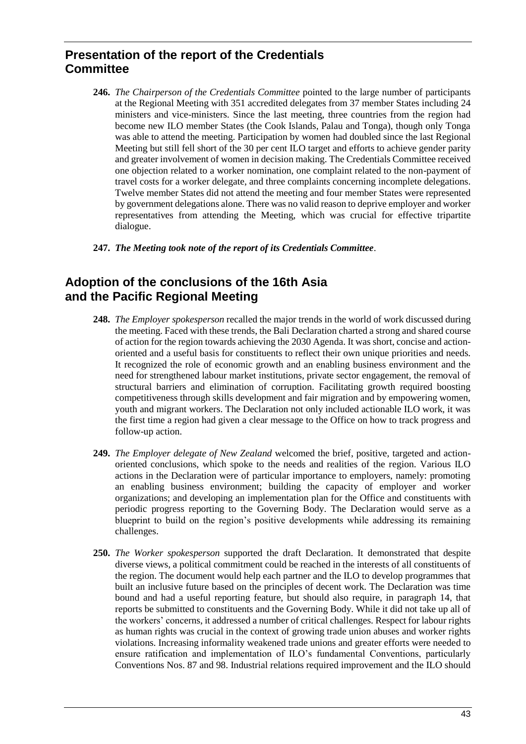# <span id="page-42-0"></span>**Presentation of the report of the Credentials Committee**

- **246.** *The Chairperson of the Credentials Committee* pointed to the large number of participants at the Regional Meeting with 351 accredited delegates from 37 member States including 24 ministers and vice-ministers. Since the last meeting, three countries from the region had become new ILO member States (the Cook Islands, Palau and Tonga), though only Tonga was able to attend the meeting. Participation by women had doubled since the last Regional Meeting but still fell short of the 30 per cent ILO target and efforts to achieve gender parity and greater involvement of women in decision making. The Credentials Committee received one objection related to a worker nomination, one complaint related to the non-payment of travel costs for a worker delegate, and three complaints concerning incomplete delegations. Twelve member States did not attend the meeting and four member States were represented by government delegations alone. There was no valid reason to deprive employer and worker representatives from attending the Meeting, which was crucial for effective tripartite dialogue.
- **247.** *The Meeting took note of the report of its Credentials Committee*.

# <span id="page-42-1"></span>**Adoption of the conclusions of the 16th Asia and the Pacific Regional Meeting**

- **248.** *The Employer spokesperson* recalled the major trends in the world of work discussed during the meeting. Faced with these trends, the Bali Declaration charted a strong and shared course of action for the region towards achieving the 2030 Agenda. It was short, concise and actionoriented and a useful basis for constituents to reflect their own unique priorities and needs. It recognized the role of economic growth and an enabling business environment and the need for strengthened labour market institutions, private sector engagement, the removal of structural barriers and elimination of corruption. Facilitating growth required boosting competitiveness through skills development and fair migration and by empowering women, youth and migrant workers. The Declaration not only included actionable ILO work, it was the first time a region had given a clear message to the Office on how to track progress and follow-up action.
- **249.** *The Employer delegate of New Zealand* welcomed the brief, positive, targeted and actionoriented conclusions, which spoke to the needs and realities of the region. Various ILO actions in the Declaration were of particular importance to employers, namely: promoting an enabling business environment; building the capacity of employer and worker organizations; and developing an implementation plan for the Office and constituents with periodic progress reporting to the Governing Body. The Declaration would serve as a blueprint to build on the region's positive developments while addressing its remaining challenges.
- **250.** *The Worker spokesperson* supported the draft Declaration. It demonstrated that despite diverse views, a political commitment could be reached in the interests of all constituents of the region. The document would help each partner and the ILO to develop programmes that built an inclusive future based on the principles of decent work. The Declaration was time bound and had a useful reporting feature, but should also require, in paragraph 14, that reports be submitted to constituents and the Governing Body. While it did not take up all of the workers' concerns, it addressed a number of critical challenges. Respect for labour rights as human rights was crucial in the context of growing trade union abuses and worker rights violations. Increasing informality weakened trade unions and greater efforts were needed to ensure ratification and implementation of ILO's fundamental Conventions, particularly Conventions Nos. 87 and 98. Industrial relations required improvement and the ILO should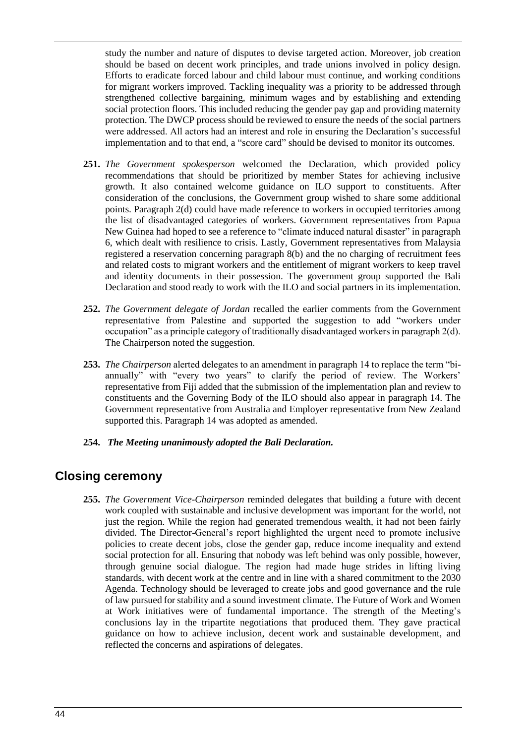study the number and nature of disputes to devise targeted action. Moreover, job creation should be based on decent work principles, and trade unions involved in policy design. Efforts to eradicate forced labour and child labour must continue, and working conditions for migrant workers improved. Tackling inequality was a priority to be addressed through strengthened collective bargaining, minimum wages and by establishing and extending social protection floors. This included reducing the gender pay gap and providing maternity protection. The DWCP process should be reviewed to ensure the needs of the social partners were addressed. All actors had an interest and role in ensuring the Declaration's successful implementation and to that end, a "score card" should be devised to monitor its outcomes.

- **251.** *The Government spokesperson* welcomed the Declaration, which provided policy recommendations that should be prioritized by member States for achieving inclusive growth. It also contained welcome guidance on ILO support to constituents. After consideration of the conclusions, the Government group wished to share some additional points. Paragraph 2(d) could have made reference to workers in occupied territories among the list of disadvantaged categories of workers. Government representatives from Papua New Guinea had hoped to see a reference to "climate induced natural disaster" in paragraph 6, which dealt with resilience to crisis. Lastly, Government representatives from Malaysia registered a reservation concerning paragraph 8(b) and the no charging of recruitment fees and related costs to migrant workers and the entitlement of migrant workers to keep travel and identity documents in their possession. The government group supported the Bali Declaration and stood ready to work with the ILO and social partners in its implementation.
- **252.** *The Government delegate of Jordan* recalled the earlier comments from the Government representative from Palestine and supported the suggestion to add "workers under occupation" as a principle category of traditionally disadvantaged workers in paragraph 2(d). The Chairperson noted the suggestion.
- **253.** *The Chairperson* alerted delegates to an amendment in paragraph 14 to replace the term "biannually" with "every two years" to clarify the period of review. The Workers' representative from Fiji added that the submission of the implementation plan and review to constituents and the Governing Body of the ILO should also appear in paragraph 14. The Government representative from Australia and Employer representative from New Zealand supported this. Paragraph 14 was adopted as amended.
- **254.** *The Meeting unanimously adopted the Bali Declaration.*

# <span id="page-43-0"></span>**Closing ceremony**

**255.** *The Government Vice-Chairperson* reminded delegates that building a future with decent work coupled with sustainable and inclusive development was important for the world, not just the region. While the region had generated tremendous wealth, it had not been fairly divided. The Director-General's report highlighted the urgent need to promote inclusive policies to create decent jobs, close the gender gap, reduce income inequality and extend social protection for all. Ensuring that nobody was left behind was only possible, however, through genuine social dialogue. The region had made huge strides in lifting living standards, with decent work at the centre and in line with a shared commitment to the 2030 Agenda. Technology should be leveraged to create jobs and good governance and the rule of law pursued for stability and a sound investment climate. The Future of Work and Women at Work initiatives were of fundamental importance. The strength of the Meeting's conclusions lay in the tripartite negotiations that produced them. They gave practical guidance on how to achieve inclusion, decent work and sustainable development, and reflected the concerns and aspirations of delegates.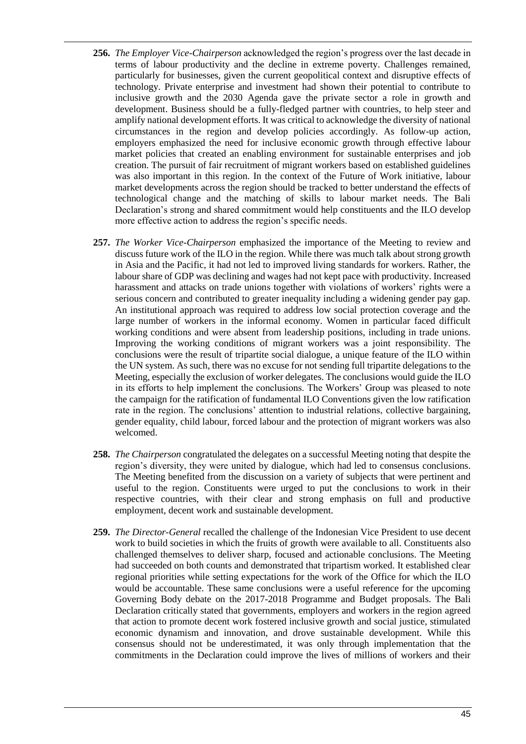- **256.** *The Employer Vice-Chairperson* acknowledged the region's progress over the last decade in terms of labour productivity and the decline in extreme poverty. Challenges remained, particularly for businesses, given the current geopolitical context and disruptive effects of technology. Private enterprise and investment had shown their potential to contribute to inclusive growth and the 2030 Agenda gave the private sector a role in growth and development. Business should be a fully-fledged partner with countries, to help steer and amplify national development efforts. It was critical to acknowledge the diversity of national circumstances in the region and develop policies accordingly. As follow-up action, employers emphasized the need for inclusive economic growth through effective labour market policies that created an enabling environment for sustainable enterprises and job creation. The pursuit of fair recruitment of migrant workers based on established guidelines was also important in this region. In the context of the Future of Work initiative, labour market developments across the region should be tracked to better understand the effects of technological change and the matching of skills to labour market needs. The Bali Declaration's strong and shared commitment would help constituents and the ILO develop more effective action to address the region's specific needs.
- **257.** *The Worker Vice-Chairperson* emphasized the importance of the Meeting to review and discuss future work of the ILO in the region. While there was much talk about strong growth in Asia and the Pacific, it had not led to improved living standards for workers. Rather, the labour share of GDP was declining and wages had not kept pace with productivity. Increased harassment and attacks on trade unions together with violations of workers' rights were a serious concern and contributed to greater inequality including a widening gender pay gap. An institutional approach was required to address low social protection coverage and the large number of workers in the informal economy. Women in particular faced difficult working conditions and were absent from leadership positions, including in trade unions. Improving the working conditions of migrant workers was a joint responsibility. The conclusions were the result of tripartite social dialogue, a unique feature of the ILO within the UN system. As such, there was no excuse for not sending full tripartite delegations to the Meeting, especially the exclusion of worker delegates. The conclusions would guide the ILO in its efforts to help implement the conclusions. The Workers' Group was pleased to note the campaign for the ratification of fundamental ILO Conventions given the low ratification rate in the region. The conclusions' attention to industrial relations, collective bargaining, gender equality, child labour, forced labour and the protection of migrant workers was also welcomed.
- **258.** *The Chairperson* congratulated the delegates on a successful Meeting noting that despite the region's diversity, they were united by dialogue, which had led to consensus conclusions. The Meeting benefited from the discussion on a variety of subjects that were pertinent and useful to the region. Constituents were urged to put the conclusions to work in their respective countries, with their clear and strong emphasis on full and productive employment, decent work and sustainable development.
- **259.** *The Director-General* recalled the challenge of the Indonesian Vice President to use decent work to build societies in which the fruits of growth were available to all. Constituents also challenged themselves to deliver sharp, focused and actionable conclusions. The Meeting had succeeded on both counts and demonstrated that tripartism worked. It established clear regional priorities while setting expectations for the work of the Office for which the ILO would be accountable. These same conclusions were a useful reference for the upcoming Governing Body debate on the 2017-2018 Programme and Budget proposals. The Bali Declaration critically stated that governments, employers and workers in the region agreed that action to promote decent work fostered inclusive growth and social justice, stimulated economic dynamism and innovation, and drove sustainable development. While this consensus should not be underestimated, it was only through implementation that the commitments in the Declaration could improve the lives of millions of workers and their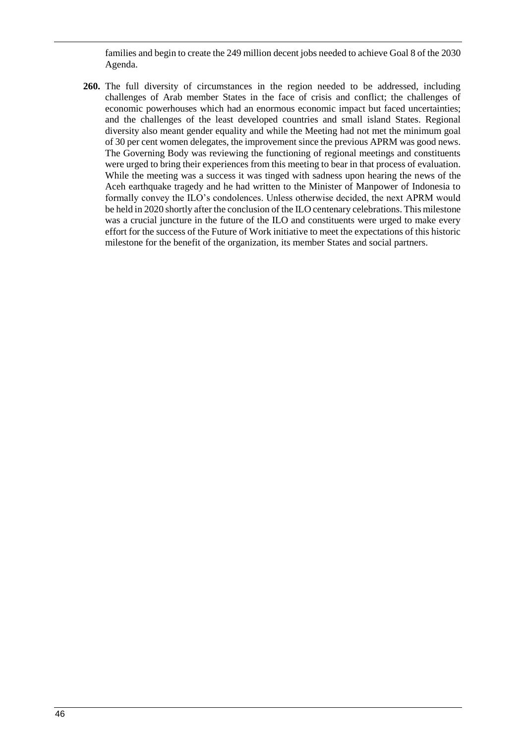<span id="page-45-0"></span>families and begin to create the 249 million decent jobs needed to achieve Goal 8 of the 2030 Agenda.

**260.** The full diversity of circumstances in the region needed to be addressed, including challenges of Arab member States in the face of crisis and conflict; the challenges of economic powerhouses which had an enormous economic impact but faced uncertainties; and the challenges of the least developed countries and small island States. Regional diversity also meant gender equality and while the Meeting had not met the minimum goal of 30 per cent women delegates, the improvement since the previous APRM was good news. The Governing Body was reviewing the functioning of regional meetings and constituents were urged to bring their experiences from this meeting to bear in that process of evaluation. While the meeting was a success it was tinged with sadness upon hearing the news of the Aceh earthquake tragedy and he had written to the Minister of Manpower of Indonesia to formally convey the ILO's condolences. Unless otherwise decided, the next APRM would be held in 2020 shortly after the conclusion of the ILO centenary celebrations. This milestone was a crucial juncture in the future of the ILO and constituents were urged to make every effort for the success of the Future of Work initiative to meet the expectations of this historic milestone for the benefit of the organization, its member States and social partners.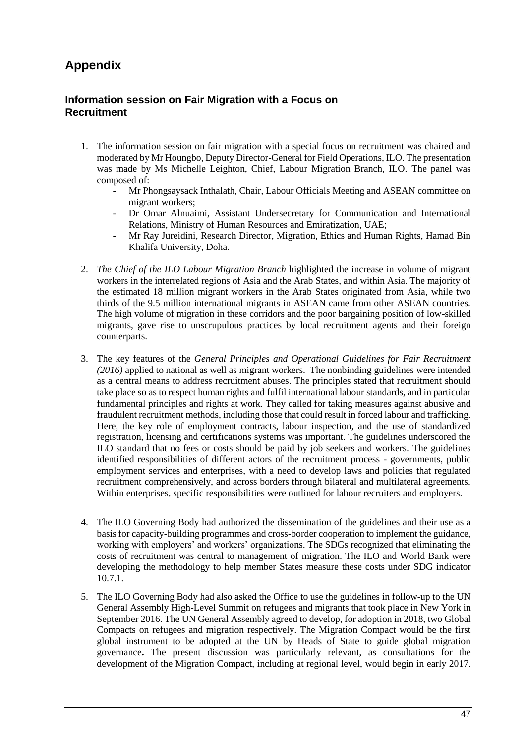# **Appendix**

## **Information session on Fair Migration with a Focus on Recruitment**

- 1. The information session on fair migration with a special focus on recruitment was chaired and moderated by Mr Houngbo, Deputy Director-General for Field Operations, ILO. The presentation was made by Ms Michelle Leighton, Chief, Labour Migration Branch, ILO. The panel was composed of:
	- Mr Phongsaysack Inthalath, Chair, Labour Officials Meeting and ASEAN committee on migrant workers;
	- Dr Omar Alnuaimi, Assistant Undersecretary for Communication and International Relations, Ministry of Human Resources and Emiratization, UAE;
	- Mr Ray Jureidini, Research Director, Migration, Ethics and Human Rights, Hamad Bin Khalifa University, Doha.
- 2. *The Chief of the ILO Labour Migration Branch* highlighted the increase in volume of migrant workers in the interrelated regions of Asia and the Arab States, and within Asia. The majority of the estimated 18 million migrant workers in the Arab States originated from Asia, while two thirds of the 9.5 million international migrants in ASEAN came from other ASEAN countries. The high volume of migration in these corridors and the poor bargaining position of low-skilled migrants, gave rise to unscrupulous practices by local recruitment agents and their foreign counterparts.
- 3. The key features of the *General Principles and Operational Guidelines for Fair Recruitment (2016)* applied to national as well as migrant workers. The nonbinding guidelines were intended as a central means to address recruitment abuses. The principles stated that recruitment should take place so as to respect human rights and fulfil international labour standards, and in particular fundamental principles and rights at work. They called for taking measures against abusive and fraudulent recruitment methods, including those that could result in forced labour and trafficking. Here, the key role of employment contracts, labour inspection, and the use of standardized registration, licensing and certifications systems was important. The guidelines underscored the ILO standard that no fees or costs should be paid by job seekers and workers. The guidelines identified responsibilities of different actors of the recruitment process - governments, public employment services and enterprises, with a need to develop laws and policies that regulated recruitment comprehensively, and across borders through bilateral and multilateral agreements. Within enterprises, specific responsibilities were outlined for labour recruiters and employers.
- 4. The ILO Governing Body had authorized the dissemination of the guidelines and their use as a basis for capacity-building programmes and cross-border cooperation to implement the guidance, working with employers' and workers' organizations. The SDGs recognized that eliminating the costs of recruitment was central to management of migration. The ILO and World Bank were developing the methodology to help member States measure these costs under SDG indicator 10.7.1.
- 5. The ILO Governing Body had also asked the Office to use the guidelines in follow-up to the UN General Assembly High-Level Summit on refugees and migrants that took place in New York in September 2016. The UN General Assembly agreed to develop, for adoption in 2018, two Global Compacts on refugees and migration respectively. The Migration Compact would be the first global instrument to be adopted at the UN by Heads of State to guide global migration governance**.** The present discussion was particularly relevant, as consultations for the development of the Migration Compact, including at regional level, would begin in early 2017.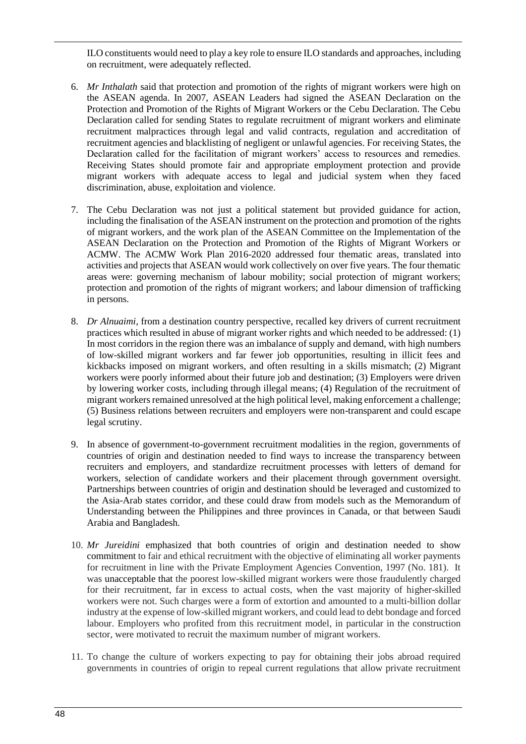ILO constituents would need to play a key role to ensure ILO standards and approaches, including on recruitment, were adequately reflected.

- 6. *Mr Inthalath* said that protection and promotion of the rights of migrant workers were high on the ASEAN agenda. In 2007, ASEAN Leaders had signed the ASEAN Declaration on the Protection and Promotion of the Rights of Migrant Workers or the Cebu Declaration. The Cebu Declaration called for sending States to regulate recruitment of migrant workers and eliminate recruitment malpractices through legal and valid contracts, regulation and accreditation of recruitment agencies and blacklisting of negligent or unlawful agencies. For receiving States, the Declaration called for the facilitation of migrant workers' access to resources and remedies. Receiving States should promote fair and appropriate employment protection and provide migrant workers with adequate access to legal and judicial system when they faced discrimination, abuse, exploitation and violence.
- 7. The Cebu Declaration was not just a political statement but provided guidance for action, including the finalisation of the ASEAN instrument on the protection and promotion of the rights of migrant workers, and the work plan of the ASEAN Committee on the Implementation of the ASEAN Declaration on the Protection and Promotion of the Rights of Migrant Workers or ACMW. The ACMW Work Plan 2016-2020 addressed four thematic areas, translated into activities and projects that ASEAN would work collectively on over five years. The four thematic areas were: governing mechanism of labour mobility; social protection of migrant workers; protection and promotion of the rights of migrant workers; and labour dimension of trafficking in persons.
- 8. *Dr Alnuaimi*, from a destination country perspective, recalled key drivers of current recruitment practices which resulted in abuse of migrant worker rights and which needed to be addressed: (1) In most corridors in the region there was an imbalance of supply and demand, with high numbers of low-skilled migrant workers and far fewer job opportunities, resulting in illicit fees and kickbacks imposed on migrant workers, and often resulting in a skills mismatch; (2) Migrant workers were poorly informed about their future job and destination; (3) Employers were driven by lowering worker costs, including through illegal means; (4) Regulation of the recruitment of migrant workers remained unresolved at the high political level, making enforcement a challenge; (5) Business relations between recruiters and employers were non-transparent and could escape legal scrutiny.
- 9. In absence of government-to-government recruitment modalities in the region, governments of countries of origin and destination needed to find ways to increase the transparency between recruiters and employers, and standardize recruitment processes with letters of demand for workers, selection of candidate workers and their placement through government oversight. Partnerships between countries of origin and destination should be leveraged and customized to the Asia-Arab states corridor, and these could draw from models such as the Memorandum of Understanding between the Philippines and three provinces in Canada, or that between Saudi Arabia and Bangladesh.
- 10. *Mr Jureidini* emphasized that both countries of origin and destination needed to show commitment to fair and ethical recruitment with the objective of eliminating all worker payments for recruitment in line with the Private Employment Agencies Convention, 1997 (No. 181). It was unacceptable that the poorest low-skilled migrant workers were those fraudulently charged for their recruitment, far in excess to actual costs, when the vast majority of higher-skilled workers were not. Such charges were a form of extortion and amounted to a multi-billion dollar industry at the expense of low-skilled migrant workers, and could lead to debt bondage and forced labour. Employers who profited from this recruitment model, in particular in the construction sector, were motivated to recruit the maximum number of migrant workers.
- 11. To change the culture of workers expecting to pay for obtaining their jobs abroad required governments in countries of origin to repeal current regulations that allow private recruitment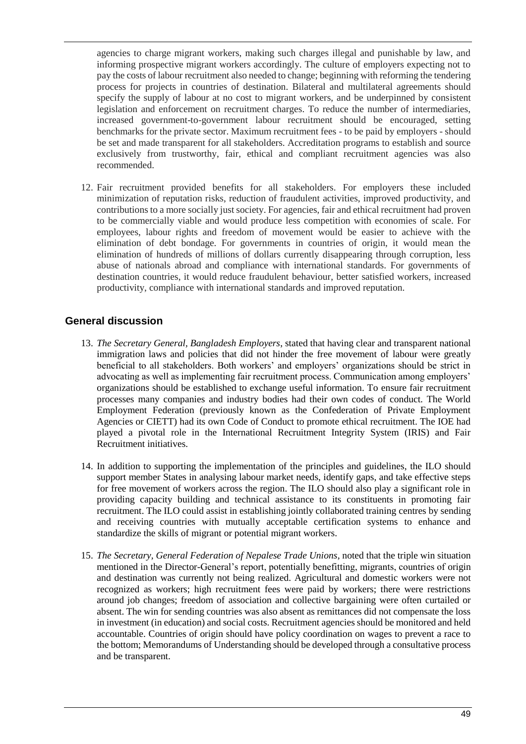agencies to charge migrant workers, making such charges illegal and punishable by law, and informing prospective migrant workers accordingly. The culture of employers expecting not to pay the costs of labour recruitment also needed to change; beginning with reforming the tendering process for projects in countries of destination. Bilateral and multilateral agreements should specify the supply of labour at no cost to migrant workers, and be underpinned by consistent legislation and enforcement on recruitment charges. To reduce the number of intermediaries, increased government-to-government labour recruitment should be encouraged, setting benchmarks for the private sector. Maximum recruitment fees - to be paid by employers - should be set and made transparent for all stakeholders. Accreditation programs to establish and source exclusively from trustworthy, fair, ethical and compliant recruitment agencies was also recommended.

12. Fair recruitment provided benefits for all stakeholders. For employers these included minimization of reputation risks, reduction of fraudulent activities, improved productivity, and contributions to a more socially just society. For agencies, fair and ethical recruitment had proven to be commercially viable and would produce less competition with economies of scale. For employees, labour rights and freedom of movement would be easier to achieve with the elimination of debt bondage. For governments in countries of origin, it would mean the elimination of hundreds of millions of dollars currently disappearing through corruption, less abuse of nationals abroad and compliance with international standards. For governments of destination countries, it would reduce fraudulent behaviour, better satisfied workers, increased productivity, compliance with international standards and improved reputation.

## **General discussion**

- 13. *The Secretary General, Bangladesh Employers*, stated that having clear and transparent national immigration laws and policies that did not hinder the free movement of labour were greatly beneficial to all stakeholders. Both workers' and employers' organizations should be strict in advocating as well as implementing fair recruitment process. Communication among employers' organizations should be established to exchange useful information. To ensure fair recruitment processes many companies and industry bodies had their own codes of conduct. The World Employment Federation (previously known as the Confederation of Private Employment Agencies or CIETT) had its own Code of Conduct to promote ethical recruitment. The IOE had played a pivotal role in the International Recruitment Integrity System (IRIS) and Fair Recruitment initiatives.
- 14. In addition to supporting the implementation of the principles and guidelines, the ILO should support member States in analysing labour market needs, identify gaps, and take effective steps for free movement of workers across the region. The ILO should also play a significant role in providing capacity building and technical assistance to its constituents in promoting fair recruitment. The ILO could assist in establishing jointly collaborated training centres by sending and receiving countries with mutually acceptable certification systems to enhance and standardize the skills of migrant or potential migrant workers.
- 15. *The Secretary, General Federation of Nepalese Trade Unions,* noted that the triple win situation mentioned in the Director-General's report, potentially benefitting, migrants, countries of origin and destination was currently not being realized. Agricultural and domestic workers were not recognized as workers; high recruitment fees were paid by workers; there were restrictions around job changes; freedom of association and collective bargaining were often curtailed or absent. The win for sending countries was also absent as remittances did not compensate the loss in investment (in education) and social costs. Recruitment agencies should be monitored and held accountable. Countries of origin should have policy coordination on wages to prevent a race to the bottom; Memorandums of Understanding should be developed through a consultative process and be transparent.